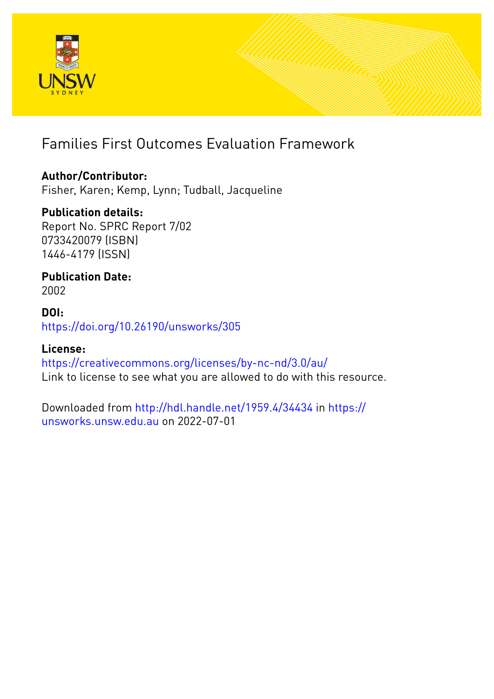

# Families First Outcomes Evaluation Framework

# **Author/Contributor:**

Fisher, Karen; Kemp, Lynn; Tudball, Jacqueline

# **Publication details:**

Report No. SPRC Report 7/02 0733420079 (ISBN) 1446-4179 (ISSN)

# **Publication Date:** 2002

# **DOI:** [https://doi.org/10.26190/unsworks/305](http://dx.doi.org/https://doi.org/10.26190/unsworks/305)

# **License:**

<https://creativecommons.org/licenses/by-nc-nd/3.0/au/> Link to license to see what you are allowed to do with this resource.

Downloaded from <http://hdl.handle.net/1959.4/34434> in [https://](https://unsworks.unsw.edu.au) [unsworks.unsw.edu.au](https://unsworks.unsw.edu.au) on 2022-07-01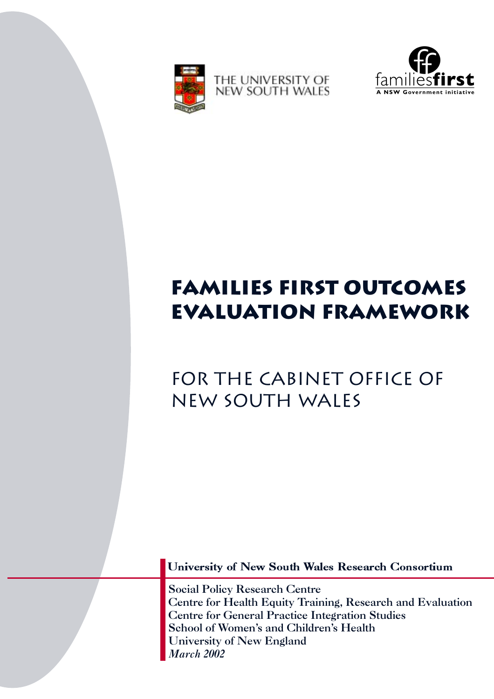



# **families first outcomes evaluation framework**

# for the cabinet office of new south wales

University of New South Wales Research Consortium

Social Policy Research Centre Centre for Health Equity Training, Research and Evaluation Centre for General Practice Integration Studies School of Women's and Children's Health University of New England *March 2002*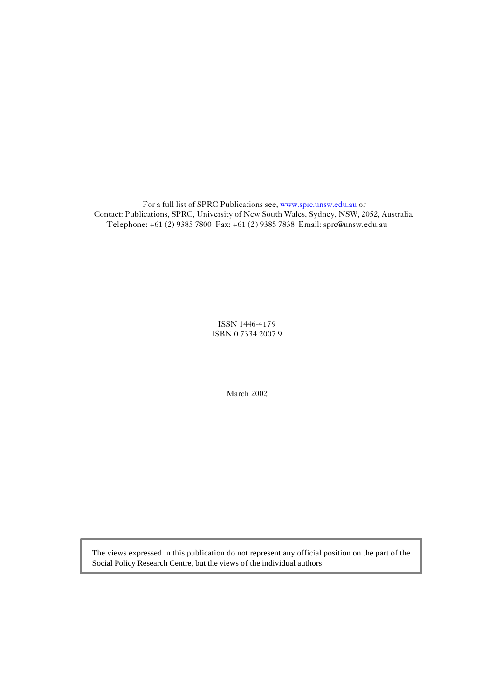For a full list of SPRC Publications see, www.sprc.unsw.edu.au or Contact: Publications, SPRC, University of New South Wales, Sydney, NSW, 2052, Australia. Telephone: +61 (2) 9385 7800 Fax: +61 (2) 9385 7838 Email: sprc@unsw.edu.au

> ISSN 1446-4179 ISBN 0 7334 2007 9

> > March 2002

The views expressed in this publication do not represent any official position on the part of the Social Policy Research Centre, but the views of the individual authors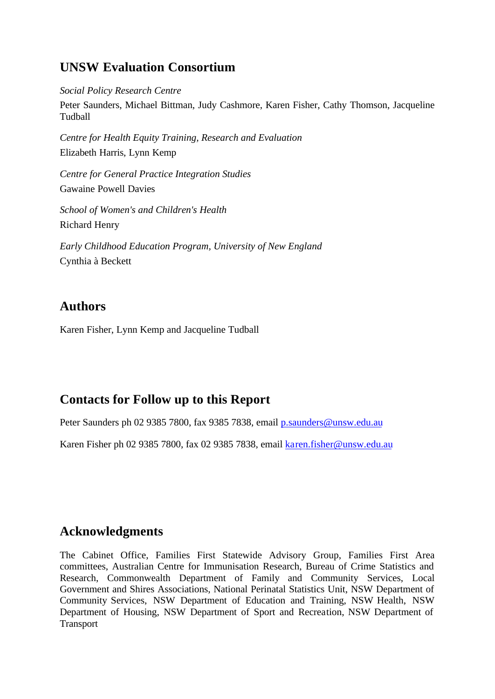# **UNSW Evaluation Consortium**

*Social Policy Research Centre*

Peter Saunders, Michael Bittman, Judy Cashmore, Karen Fisher, Cathy Thomson, Jacqueline Tudball

*Centre for Health Equity Training, Research and Evaluation*  Elizabeth Harris, Lynn Kemp

*Centre for General Practice Integration Studies* Gawaine Powell Davies

*School of Women's and Children's Health* Richard Henry

*Early Childhood Education Program, University of New England*  Cynthia à Beckett

# **Authors**

Karen Fisher, Lynn Kemp and Jacqueline Tudball

# **Contacts for Follow up to this Report**

Peter Saunders ph 02 9385 7800, fax 9385 7838, email p.saunders@unsw.edu.au

Karen Fisher ph 02 9385 7800, fax 02 9385 7838, email karen.fisher@unsw.edu.au

# **Acknowledgments**

The Cabinet Office, Families First Statewide Advisory Group, Families First Area committees, Australian Centre for Immunisation Research, Bureau of Crime Statistics and Research, Commonwealth Department of Family and Community Services, Local Government and Shires Associations, National Perinatal Statistics Unit, NSW Department of Community Services, NSW Department of Education and Training, NSW Health, NSW Department of Housing, NSW Department of Sport and Recreation, NSW Department of Transport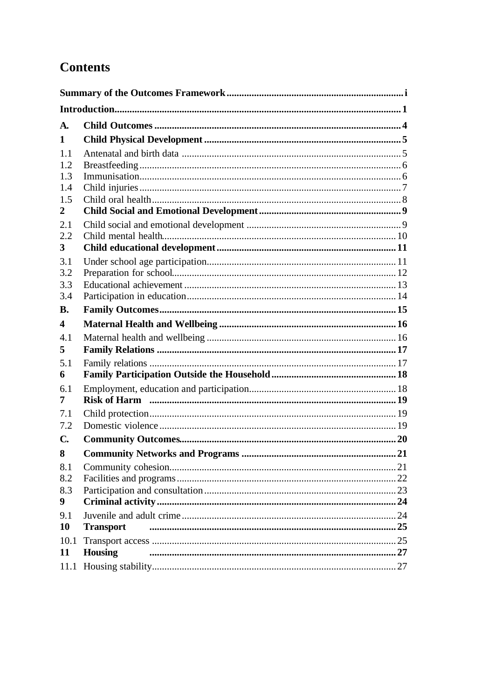# **Contents**

| <b>A.</b>               |                  |  |
|-------------------------|------------------|--|
| 1                       |                  |  |
| 1.1                     |                  |  |
| 1.2                     |                  |  |
| 1.3                     |                  |  |
| 1.4                     |                  |  |
| 1.5                     |                  |  |
| $\overline{2}$          |                  |  |
| 2.1<br>2.2              |                  |  |
| 3 <sup>1</sup>          |                  |  |
| 3.1                     |                  |  |
| 3.2                     |                  |  |
| 3.3                     |                  |  |
| 3.4                     |                  |  |
| <b>B.</b>               |                  |  |
| $\overline{\mathbf{4}}$ |                  |  |
| 4.1                     |                  |  |
| 5                       |                  |  |
| 5.1                     |                  |  |
| 6                       |                  |  |
| 6.1<br>7                |                  |  |
| 7.1                     |                  |  |
| 7.2                     |                  |  |
| $\mathbf{C}$            |                  |  |
| 8                       |                  |  |
| 8.1                     |                  |  |
| 8.2                     |                  |  |
| 8.3                     |                  |  |
| 9                       |                  |  |
| 9.1                     |                  |  |
| 10                      | <b>Transport</b> |  |
| 10.1                    |                  |  |
| 11                      | <b>Housing</b>   |  |
|                         |                  |  |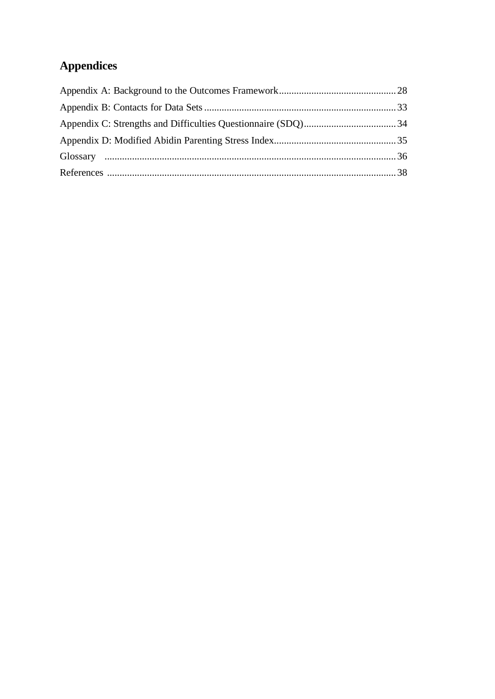# **Appendices**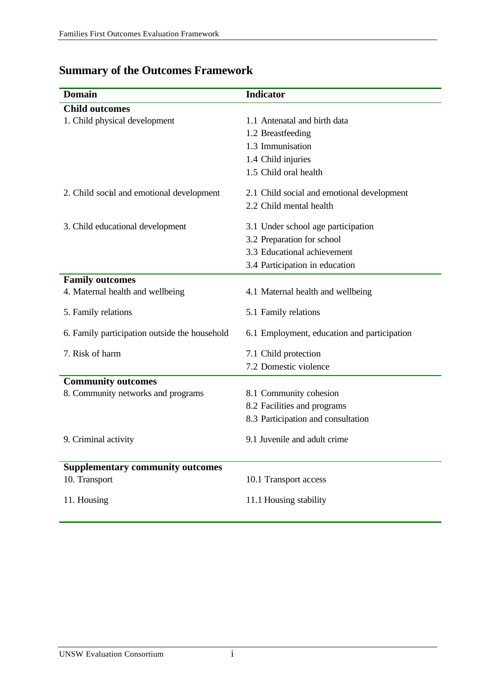| <b>Domain</b>                                 | <b>Indicator</b>                            |
|-----------------------------------------------|---------------------------------------------|
| <b>Child</b> outcomes                         |                                             |
| 1. Child physical development                 | 1.1 Antenatal and birth data                |
|                                               | 1.2 Breastfeeding                           |
|                                               | 1.3 Immunisation                            |
|                                               | 1.4 Child injuries                          |
|                                               | 1.5 Child oral health                       |
| 2. Child social and emotional development     | 2.1 Child social and emotional development  |
|                                               | 2.2 Child mental health                     |
| 3. Child educational development              | 3.1 Under school age participation          |
|                                               | 3.2 Preparation for school                  |
|                                               | 3.3 Educational achievement                 |
|                                               | 3.4 Participation in education              |
| <b>Family outcomes</b>                        |                                             |
| 4. Maternal health and wellbeing              | 4.1 Maternal health and wellbeing           |
| 5. Family relations                           | 5.1 Family relations                        |
| 6. Family participation outside the household | 6.1 Employment, education and participation |
| 7. Risk of harm                               | 7.1 Child protection                        |
|                                               | 7.2 Domestic violence                       |
| <b>Community outcomes</b>                     |                                             |
| 8. Community networks and programs            | 8.1 Community cohesion                      |
|                                               | 8.2 Facilities and programs                 |
|                                               | 8.3 Participation and consultation          |
| 9. Criminal activity                          | 9.1 Juvenile and adult crime                |
|                                               |                                             |
| <b>Supplementary community outcomes</b>       |                                             |
| 10. Transport                                 | 10.1 Transport access                       |
| 11. Housing                                   | 11.1 Housing stability                      |
|                                               |                                             |

# **Summary of the Outcomes Framework**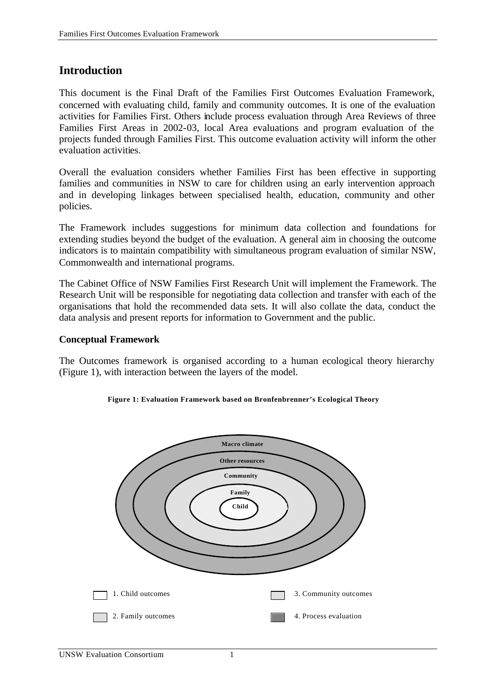# **Introduction**

This document is the Final Draft of the Families First Outcomes Evaluation Framework, concerned with evaluating child, family and community outcomes. It is one of the evaluation activities for Families First. Others include process evaluation through Area Reviews of three Families First Areas in 2002-03, local Area evaluations and program evaluation of the projects funded through Families First. This outcome evaluation activity will inform the other evaluation activities.

Overall the evaluation considers whether Families First has been effective in supporting families and communities in NSW to care for children using an early intervention approach and in developing linkages between specialised health, education, community and other policies.

The Framework includes suggestions for minimum data collection and foundations for extending studies beyond the budget of the evaluation. A general aim in choosing the outcome indicators is to maintain compatibility with simultaneous program evaluation of similar NSW, Commonwealth and international programs.

The Cabinet Office of NSW Families First Research Unit will implement the Framework. The Research Unit will be responsible for negotiating data collection and transfer with each of the organisations that hold the recommended data sets. It will also collate the data, conduct the data analysis and present reports for information to Government and the public.

#### **Conceptual Framework**

The Outcomes framework is organised according to a human ecological theory hierarchy (Figure 1), with interaction between the layers of the model.



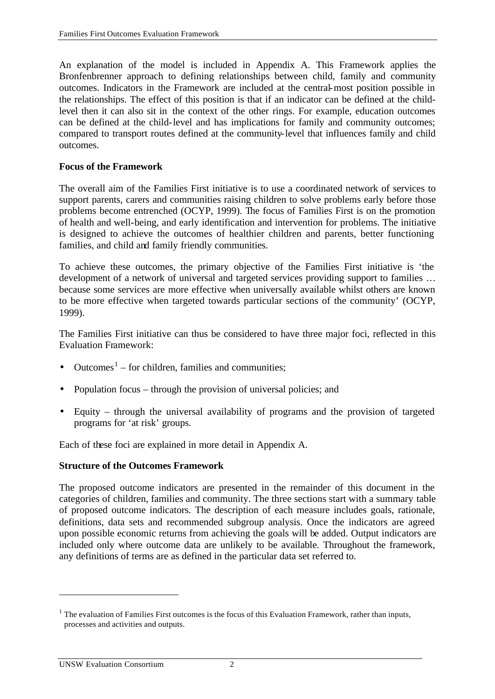An explanation of the model is included in Appendix A. This Framework applies the Bronfenbrenner approach to defining relationships between child, family and community outcomes. Indicators in the Framework are included at the central-most position possible in the relationships. The effect of this position is that if an indicator can be defined at the childlevel then it can also sit in the context of the other rings. For example, education outcomes can be defined at the child-level and has implications for family and community outcomes; compared to transport routes defined at the community-level that influences family and child outcomes.

## **Focus of the Framework**

The overall aim of the Families First initiative is to use a coordinated network of services to support parents, carers and communities raising children to solve problems early before those problems become entrenched (OCYP, 1999). The focus of Families First is on the promotion of health and well-being, and early identification and intervention for problems. The initiative is designed to achieve the outcomes of healthier children and parents, better functioning families, and child and family friendly communities.

To achieve these outcomes, the primary objective of the Families First initiative is 'the development of a network of universal and targeted services providing support to families … because some services are more effective when universally available whilst others are known to be more effective when targeted towards particular sections of the community' (OCYP, 1999).

The Families First initiative can thus be considered to have three major foci, reflected in this Evaluation Framework:

- Outcomes<sup>1</sup> for children, families and communities;
- Population focus through the provision of universal policies; and
- Equity through the universal availability of programs and the provision of targeted programs for 'at risk' groups.

Each of these foci are explained in more detail in Appendix A.

# **Structure of the Outcomes Framework**

The proposed outcome indicators are presented in the remainder of this document in the categories of children, families and community. The three sections start with a summary table of proposed outcome indicators. The description of each measure includes goals, rationale, definitions, data sets and recommended subgroup analysis. Once the indicators are agreed upon possible economic returns from achieving the goals will be added. Output indicators are included only where outcome data are unlikely to be available. Throughout the framework, any definitions of terms are as defined in the particular data set referred to.

l

<sup>&</sup>lt;sup>1</sup> The evaluation of Families First outcomes is the focus of this Evaluation Framework, rather than inputs, processes and activities and outputs.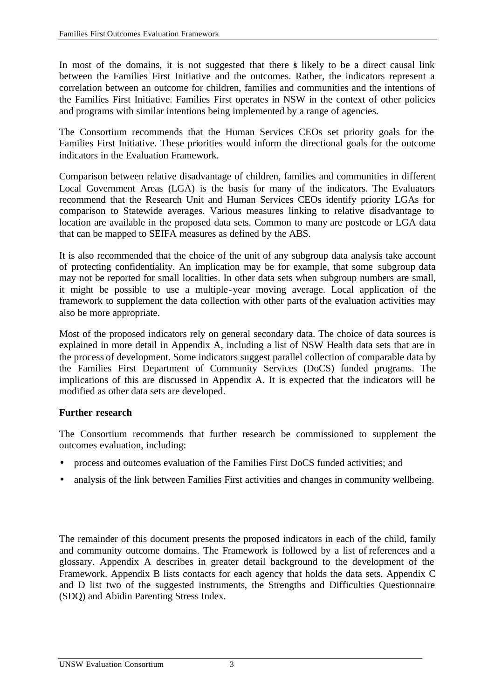In most of the domains, it is not suggested that there is likely to be a direct causal link between the Families First Initiative and the outcomes. Rather, the indicators represent a correlation between an outcome for children, families and communities and the intentions of the Families First Initiative. Families First operates in NSW in the context of other policies and programs with similar intentions being implemented by a range of agencies.

The Consortium recommends that the Human Services CEOs set priority goals for the Families First Initiative. These priorities would inform the directional goals for the outcome indicators in the Evaluation Framework.

Comparison between relative disadvantage of children, families and communities in different Local Government Areas (LGA) is the basis for many of the indicators. The Evaluators recommend that the Research Unit and Human Services CEOs identify priority LGAs for comparison to Statewide averages. Various measures linking to relative disadvantage to location are available in the proposed data sets. Common to many are postcode or LGA data that can be mapped to SEIFA measures as defined by the ABS.

It is also recommended that the choice of the unit of any subgroup data analysis take account of protecting confidentiality. An implication may be for example, that some subgroup data may not be reported for small localities. In other data sets when subgroup numbers are small, it might be possible to use a multiple-year moving average. Local application of the framework to supplement the data collection with other parts of the evaluation activities may also be more appropriate.

Most of the proposed indicators rely on general secondary data. The choice of data sources is explained in more detail in Appendix A, including a list of NSW Health data sets that are in the process of development. Some indicators suggest parallel collection of comparable data by the Families First Department of Community Services (DoCS) funded programs. The implications of this are discussed in Appendix A. It is expected that the indicators will be modified as other data sets are developed.

# **Further research**

The Consortium recommends that further research be commissioned to supplement the outcomes evaluation, including:

- process and outcomes evaluation of the Families First DoCS funded activities; and
- analysis of the link between Families First activities and changes in community wellbeing.

The remainder of this document presents the proposed indicators in each of the child, family and community outcome domains. The Framework is followed by a list of references and a glossary. Appendix A describes in greater detail background to the development of the Framework. Appendix B lists contacts for each agency that holds the data sets. Appendix C and D list two of the suggested instruments, the Strengths and Difficulties Questionnaire (SDQ) and Abidin Parenting Stress Index.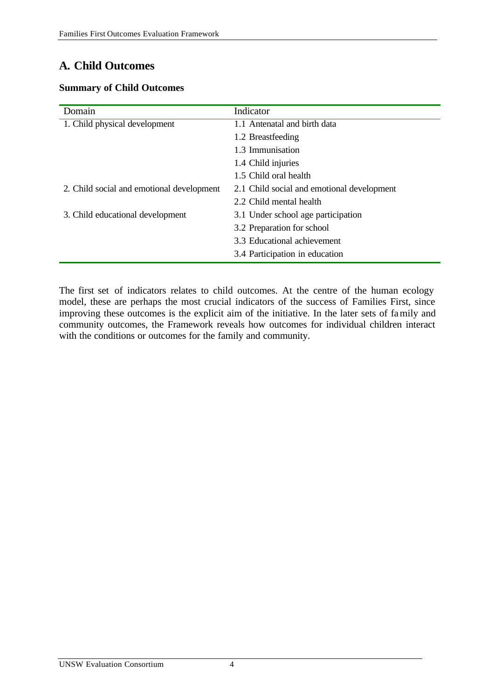# **A. Child Outcomes**

### **Summary of Child Outcomes**

| Domain                                    | Indicator                                  |
|-------------------------------------------|--------------------------------------------|
| 1. Child physical development             | 1.1 Antenatal and birth data               |
|                                           | 1.2 Breastfeeding                          |
|                                           | 1.3 Immunisation                           |
|                                           | 1.4 Child injuries                         |
|                                           | 1.5 Child oral health                      |
| 2. Child social and emotional development | 2.1 Child social and emotional development |
|                                           | 2.2 Child mental health                    |
| 3. Child educational development          | 3.1 Under school age participation         |
|                                           | 3.2 Preparation for school                 |
|                                           | 3.3 Educational achievement                |
|                                           | 3.4 Participation in education             |

The first set of indicators relates to child outcomes. At the centre of the human ecology model, these are perhaps the most crucial indicators of the success of Families First, since improving these outcomes is the explicit aim of the initiative. In the later sets of family and community outcomes, the Framework reveals how outcomes for individual children interact with the conditions or outcomes for the family and community.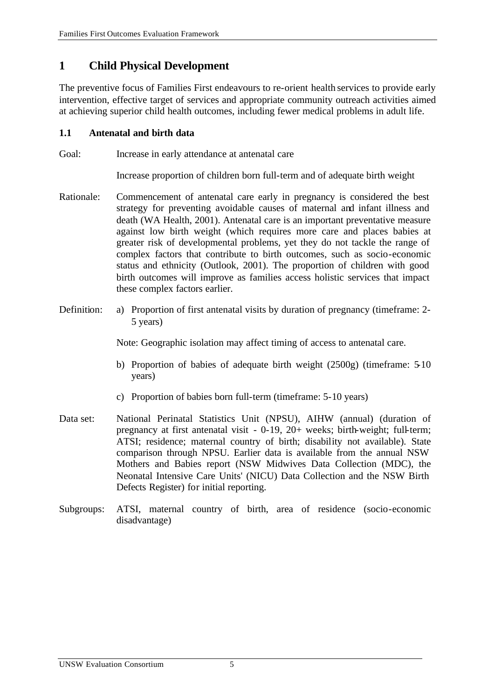# **1 Child Physical Development**

The preventive focus of Families First endeavours to re-orient health services to provide early intervention, effective target of services and appropriate community outreach activities aimed at achieving superior child health outcomes, including fewer medical problems in adult life.

# **1.1 Antenatal and birth data**

Goal: Increase in early attendance at antenatal care

Increase proportion of children born full-term and of adequate birth weight

- Rationale: Commencement of antenatal care early in pregnancy is considered the best strategy for preventing avoidable causes of maternal and infant illness and death (WA Health, 2001). Antenatal care is an important preventative measure against low birth weight (which requires more care and places babies at greater risk of developmental problems, yet they do not tackle the range of complex factors that contribute to birth outcomes, such as socio-economic status and ethnicity (Outlook, 2001). The proportion of children with good birth outcomes will improve as families access holistic services that impact these complex factors earlier.
- Definition: a) Proportion of first antenatal visits by duration of pregnancy (timeframe: 2- 5 years)

Note: Geographic isolation may affect timing of access to antenatal care.

- b) Proportion of babies of adequate birth weight (2500g) (timeframe: 5-10 years)
- c) Proportion of babies born full-term (timeframe: 5-10 years)
- Data set: National Perinatal Statistics Unit (NPSU), AIHW (annual) (duration of pregnancy at first antenatal visit - 0-19, 20+ weeks; birth-weight; full-term; ATSI; residence; maternal country of birth; disability not available). State comparison through NPSU. Earlier data is available from the annual NSW Mothers and Babies report (NSW Midwives Data Collection (MDC), the Neonatal Intensive Care Units' (NICU) Data Collection and the NSW Birth Defects Register) for initial reporting.
- Subgroups: ATSI, maternal country of birth, area of residence (socio-economic disadvantage)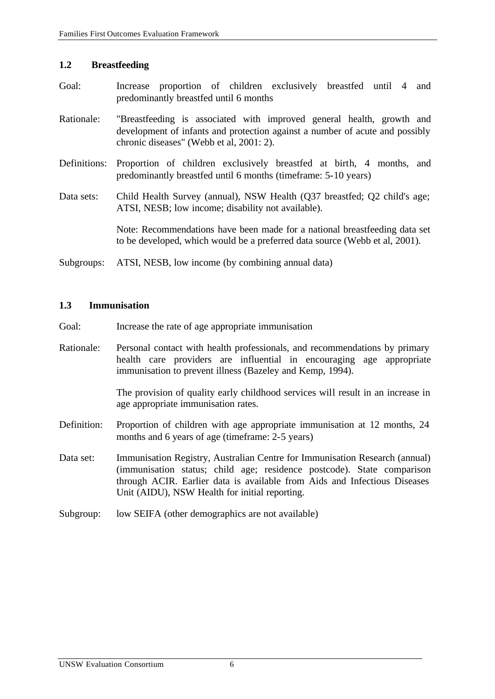#### **1.2 Breastfeeding**

- Goal: Increase proportion of children exclusively breastfed until 4 and predominantly breastfed until 6 months
- Rationale: "Breastfeeding is associated with improved general health, growth and development of infants and protection against a number of acute and possibly chronic diseases" (Webb et al, 2001: 2).
- Definitions: Proportion of children exclusively breastfed at birth, 4 months, and predominantly breastfed until 6 months (timeframe: 5-10 years)
- Data sets: Child Health Survey (annual), NSW Health (Q37 breastfed; Q2 child's age; ATSI, NESB; low income; disability not available).

Note: Recommendations have been made for a national breastfeeding data set to be developed, which would be a preferred data source (Webb et al, 2001).

Subgroups: ATSI, NESB, low income (by combining annual data)

#### **1.3 Immunisation**

- Goal: Increase the rate of age appropriate immunisation
- Rationale: Personal contact with health professionals, and recommendations by primary health care providers are influential in encouraging age appropriate immunisation to prevent illness (Bazeley and Kemp, 1994).

The provision of quality early childhood services will result in an increase in age appropriate immunisation rates.

- Definition: Proportion of children with age appropriate immunisation at 12 months, 24 months and 6 years of age (timeframe: 2-5 years)
- Data set: Immunisation Registry, Australian Centre for Immunisation Research (annual) (immunisation status; child age; residence postcode). State comparison through ACIR. Earlier data is available from Aids and Infectious Diseases Unit (AIDU), NSW Health for initial reporting.
- Subgroup: low SEIFA (other demographics are not available)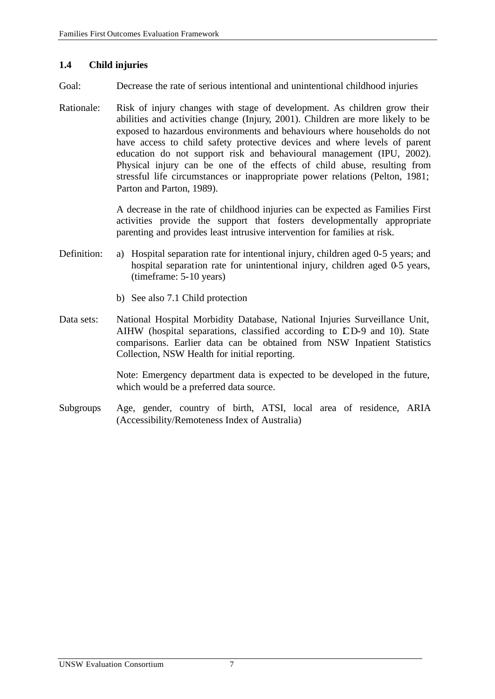### **1.4 Child injuries**

- Goal: Decrease the rate of serious intentional and unintentional childhood injuries
- Rationale: Risk of injury changes with stage of development. As children grow their abilities and activities change (Injury, 2001). Children are more likely to be exposed to hazardous environments and behaviours where households do not have access to child safety protective devices and where levels of parent education do not support risk and behavioural management (IPU, 2002). Physical injury can be one of the effects of child abuse, resulting from stressful life circumstances or inappropriate power relations (Pelton, 1981; Parton and Parton, 1989).

A decrease in the rate of childhood injuries can be expected as Families First activities provide the support that fosters developmentally appropriate parenting and provides least intrusive intervention for families at risk.

- Definition: a) Hospital separation rate for intentional injury, children aged 0-5 years; and hospital separation rate for unintentional injury, children aged 0-5 years, (timeframe: 5-10 years)
	- b) See also 7.1 Child protection
- Data sets: National Hospital Morbidity Database, National Injuries Surveillance Unit, AIHW (hospital separations, classified according to CD-9 and 10). State comparisons. Earlier data can be obtained from NSW Inpatient Statistics Collection, NSW Health for initial reporting.

Note: Emergency department data is expected to be developed in the future, which would be a preferred data source.

Subgroups Age, gender, country of birth, ATSI, local area of residence, ARIA (Accessibility/Remoteness Index of Australia)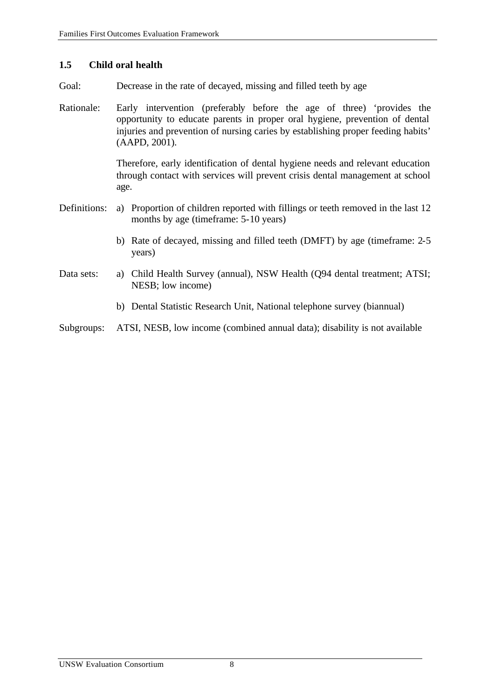### **1.5 Child oral health**

- Goal: Decrease in the rate of decayed, missing and filled teeth by age
- Rationale: Early intervention (preferably before the age of three) 'provides the opportunity to educate parents in proper oral hygiene, prevention of dental injuries and prevention of nursing caries by establishing proper feeding habits' (AAPD, 2001).

Therefore, early identification of dental hygiene needs and relevant education through contact with services will prevent crisis dental management at school age.

- Definitions: a) Proportion of children reported with fillings or teeth removed in the last 12 months by age (timeframe: 5-10 years)
	- b) Rate of decayed, missing and filled teeth (DMFT) by age (timeframe: 2-5 years)
- Data sets: a) Child Health Survey (annual), NSW Health (Q94 dental treatment; ATSI; NESB; low income)
	- b) Dental Statistic Research Unit, National telephone survey (biannual)
- Subgroups: ATSI, NESB, low income (combined annual data); disability is not available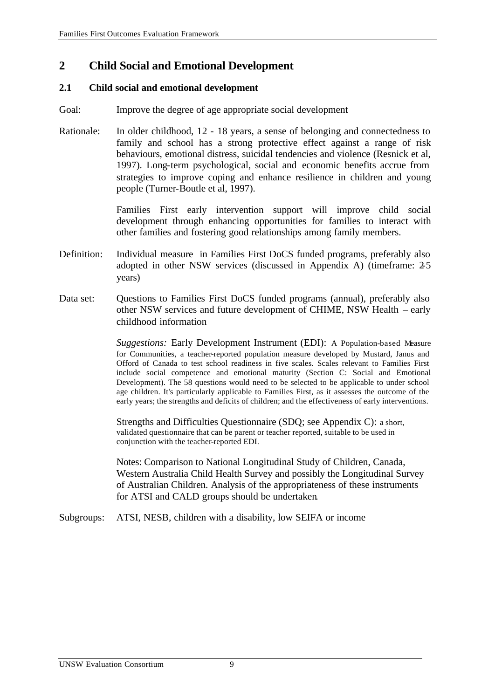# **2 Child Social and Emotional Development**

#### **2.1 Child social and emotional development**

- Goal: Improve the degree of age appropriate social development
- Rationale: In older childhood, 12 18 years, a sense of belonging and connectedness to family and school has a strong protective effect against a range of risk behaviours, emotional distress, suicidal tendencies and violence (Resnick et al, 1997). Long-term psychological, social and economic benefits accrue from strategies to improve coping and enhance resilience in children and young people (Turner-Boutle et al, 1997).

Families First early intervention support will improve child social development through enhancing opportunities for families to interact with other families and fostering good relationships among family members.

- Definition: Individual measure in Families First DoCS funded programs, preferably also adopted in other NSW services (discussed in Appendix A) (timeframe: 2-5 years)
- Data set: Questions to Families First DoCS funded programs (annual), preferably also other NSW services and future development of CHIME, NSW Health – early childhood information

*Suggestions:* Early Development Instrument (EDI): A Population-based Measure for Communities, a teacher-reported population measure developed by Mustard, Janus and Offord of Canada to test school readiness in five scales. Scales relevant to Families First include social competence and emotional maturity (Section C: Social and Emotional Development). The 58 questions would need to be selected to be applicable to under school age children. It's particularly applicable to Families First, as it assesses the outcome of the early years; the strengths and deficits of children; and the effectiveness of early interventions.

Strengths and Difficulties Questionnaire (SDQ; see Appendix C): a short, validated questionnaire that can be parent or teacher reported, suitable to be used in conjunction with the teacher-reported EDI.

Notes: Comparison to National Longitudinal Study of Children, Canada, Western Australia Child Health Survey and possibly the Longitudinal Survey of Australian Children. Analysis of the appropriateness of these instruments for ATSI and CALD groups should be undertaken.

Subgroups: ATSI, NESB, children with a disability, low SEIFA or income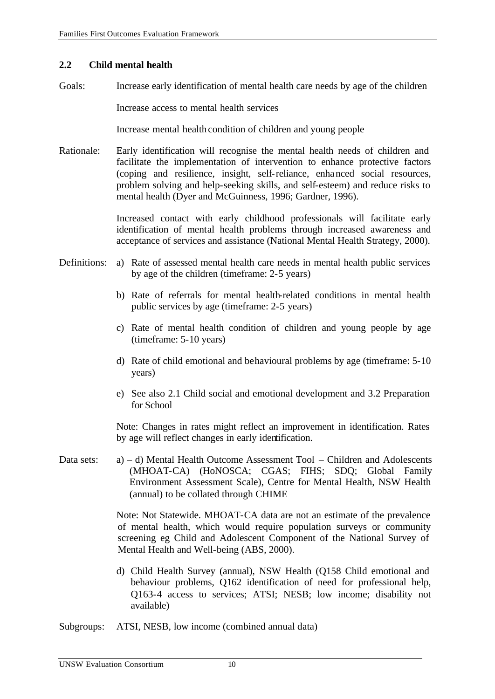#### **2.2 Child mental health**

Goals: Increase early identification of mental health care needs by age of the children

Increase access to mental health services

Increase mental health condition of children and young people

Rationale: Early identification will recognise the mental health needs of children and facilitate the implementation of intervention to enhance protective factors (coping and resilience, insight, self-reliance, enhanced social resources, problem solving and help-seeking skills, and self-esteem) and reduce risks to mental health (Dyer and McGuinness, 1996; Gardner, 1996).

> Increased contact with early childhood professionals will facilitate early identification of mental health problems through increased awareness and acceptance of services and assistance (National Mental Health Strategy, 2000).

- Definitions: a) Rate of assessed mental health care needs in mental health public services by age of the children (timeframe: 2-5 years)
	- b) Rate of referrals for mental health-related conditions in mental health public services by age (timeframe: 2-5 years)
	- c) Rate of mental health condition of children and young people by age (timeframe: 5-10 years)
	- d) Rate of child emotional and behavioural problems by age (timeframe: 5-10 years)
	- e) See also 2.1 Child social and emotional development and 3.2 Preparation for School

Note: Changes in rates might reflect an improvement in identification. Rates by age will reflect changes in early identification.

Data sets: a) – d) Mental Health Outcome Assessment Tool – Children and Adolescents (MHOAT-CA) (HoNOSCA; CGAS; FIHS; SDQ; Global Family Environment Assessment Scale), Centre for Mental Health, NSW Health (annual) to be collated through CHIME

> Note: Not Statewide. MHOAT-CA data are not an estimate of the prevalence of mental health, which would require population surveys or community screening eg Child and Adolescent Component of the National Survey of Mental Health and Well-being (ABS, 2000).

> d) Child Health Survey (annual), NSW Health (Q158 Child emotional and behaviour problems, Q162 identification of need for professional help, Q163-4 access to services; ATSI; NESB; low income; disability not available)

Subgroups: ATSI, NESB, low income (combined annual data)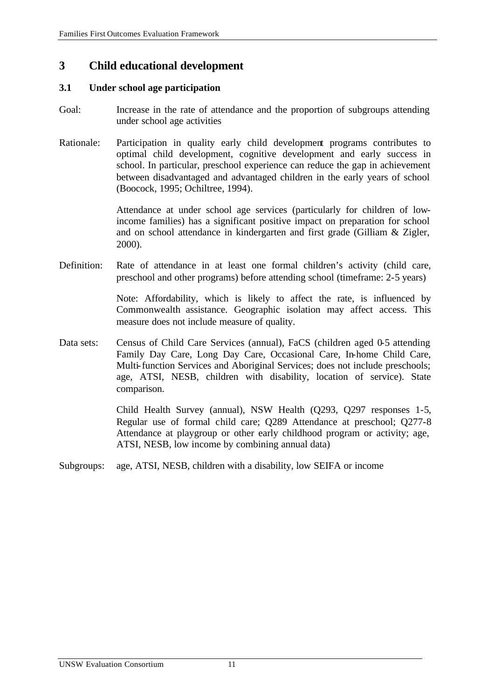# **3 Child educational development**

#### **3.1 Under school age participation**

- Goal: Increase in the rate of attendance and the proportion of subgroups attending under school age activities
- Rationale: Participation in quality early child development programs contributes to optimal child development, cognitive development and early success in school. In particular, preschool experience can reduce the gap in achievement between disadvantaged and advantaged children in the early years of school (Boocock, 1995; Ochiltree, 1994).

Attendance at under school age services (particularly for children of lowincome families) has a significant positive impact on preparation for school and on school attendance in kindergarten and first grade (Gilliam & Zigler, 2000).

Definition: Rate of attendance in at least one formal children's activity (child care, preschool and other programs) before attending school (timeframe: 2-5 years)

> Note: Affordability, which is likely to affect the rate, is influenced by Commonwealth assistance. Geographic isolation may affect access. This measure does not include measure of quality.

Data sets: Census of Child Care Services (annual), FaCS (children aged 0-5 attending Family Day Care, Long Day Care, Occasional Care, In-home Child Care, Multi-function Services and Aboriginal Services; does not include preschools; age, ATSI, NESB, children with disability, location of service). State comparison.

> Child Health Survey (annual), NSW Health (Q293, Q297 responses 1-5, Regular use of formal child care; Q289 Attendance at preschool; Q277-8 Attendance at playgroup or other early childhood program or activity; age, ATSI, NESB, low income by combining annual data)

Subgroups: age, ATSI, NESB, children with a disability, low SEIFA or income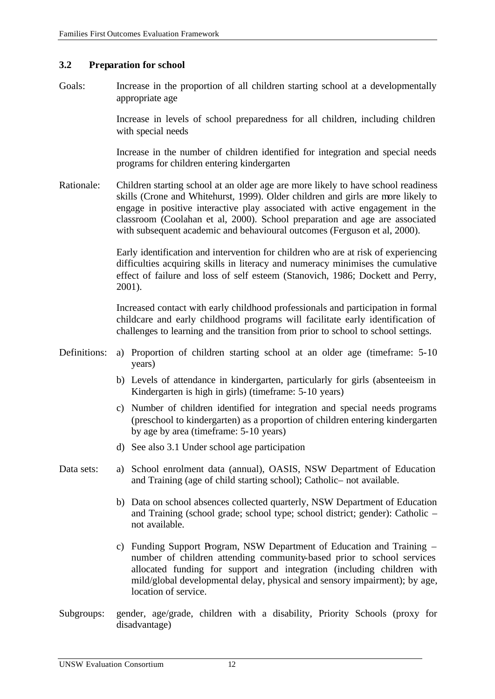#### **3.2 Preparation for school**

Goals: Increase in the proportion of all children starting school at a developmentally appropriate age

> Increase in levels of school preparedness for all children, including children with special needs

> Increase in the number of children identified for integration and special needs programs for children entering kindergarten

Rationale: Children starting school at an older age are more likely to have school readiness skills (Crone and Whitehurst, 1999). Older children and girls are more likely to engage in positive interactive play associated with active engagement in the classroom (Coolahan et al, 2000). School preparation and age are associated with subsequent academic and behavioural outcomes (Ferguson et al, 2000).

> Early identification and intervention for children who are at risk of experiencing difficulties acquiring skills in literacy and numeracy minimises the cumulative effect of failure and loss of self esteem (Stanovich, 1986; Dockett and Perry, 2001).

> Increased contact with early childhood professionals and participation in formal childcare and early childhood programs will facilitate early identification of challenges to learning and the transition from prior to school to school settings.

- Definitions: a) Proportion of children starting school at an older age (timeframe: 5-10 years)
	- b) Levels of attendance in kindergarten, particularly for girls (absenteeism in Kindergarten is high in girls) (timeframe: 5-10 years)
	- c) Number of children identified for integration and special needs programs (preschool to kindergarten) as a proportion of children entering kindergarten by age by area (timeframe: 5-10 years)
	- d) See also 3.1 Under school age participation
- Data sets: a) School enrolment data (annual), OASIS, NSW Department of Education and Training (age of child starting school); Catholic– not available.
	- b) Data on school absences collected quarterly, NSW Department of Education and Training (school grade; school type; school district; gender): Catholic – not available.
	- c) Funding Support Program, NSW Department of Education and Training number of children attending community-based prior to school services allocated funding for support and integration (including children with mild/global developmental delay, physical and sensory impairment); by age, location of service.
- Subgroups: gender, age/grade, children with a disability, Priority Schools (proxy for disadvantage)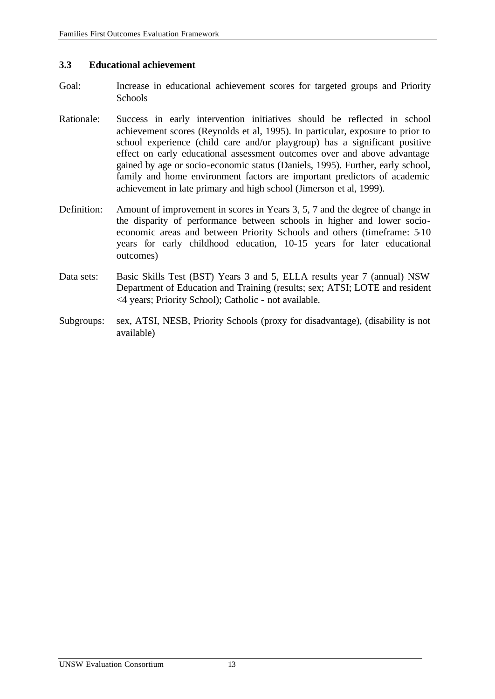#### **3.3 Educational achievement**

- Goal: Increase in educational achievement scores for targeted groups and Priority **Schools**
- Rationale: Success in early intervention initiatives should be reflected in school achievement scores (Reynolds et al, 1995). In particular, exposure to prior to school experience (child care and/or playgroup) has a significant positive effect on early educational assessment outcomes over and above advantage gained by age or socio-economic status (Daniels, 1995). Further, early school, family and home environment factors are important predictors of academic achievement in late primary and high school (Jimerson et al, 1999).
- Definition: Amount of improvement in scores in Years 3, 5, 7 and the degree of change in the disparity of performance between schools in higher and lower socioeconomic areas and between Priority Schools and others (timeframe: 5-10 years for early childhood education, 10-15 years for later educational outcomes)
- Data sets: Basic Skills Test (BST) Years 3 and 5, ELLA results year 7 (annual) NSW Department of Education and Training (results; sex; ATSI; LOTE and resident <4 years; Priority School); Catholic - not available.
- Subgroups: sex, ATSI, NESB, Priority Schools (proxy for disadvantage), (disability is not available)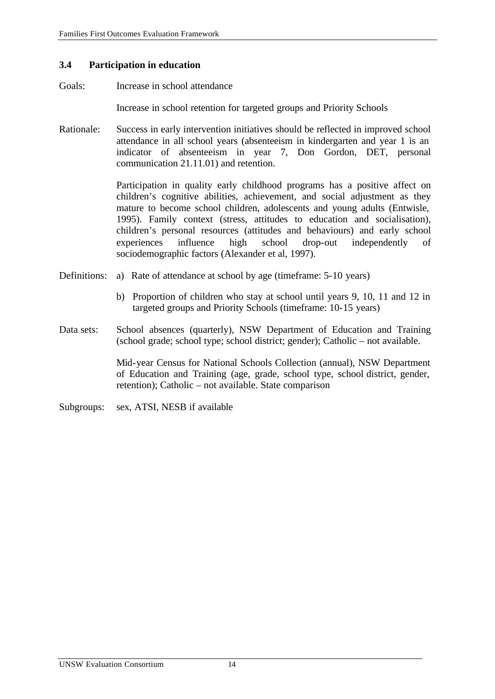#### **3.4 Participation in education**

Goals: Increase in school attendance

Increase in school retention for targeted groups and Priority Schools

Rationale: Success in early intervention initiatives should be reflected in improved school attendance in all school years (absenteeism in kindergarten and year 1 is an indicator of absenteeism in year 7, Don Gordon, DET, personal communication 21.11.01) and retention.

> Participation in quality early childhood programs has a positive affect on children's cognitive abilities, achievement, and social adjustment as they mature to become school children, adolescents and young adults (Entwisle, 1995). Family context (stress, attitudes to education and socialisation), children's personal resources (attitudes and behaviours) and early school experiences influence high school drop-out independently of sociodemographic factors (Alexander et al, 1997).

- Definitions: a) Rate of attendance at school by age (timeframe: 5-10 years)
	- b) Proportion of children who stay at school until years 9, 10, 11 and 12 in targeted groups and Priority Schools (timeframe: 10-15 years)
- Data sets: School absences (quarterly), NSW Department of Education and Training (school grade; school type; school district; gender); Catholic – not available.

Mid-year Census for National Schools Collection (annual), NSW Department of Education and Training (age, grade, school type, school district, gender, retention); Catholic – not available. State comparison

Subgroups: sex, ATSI, NESB if available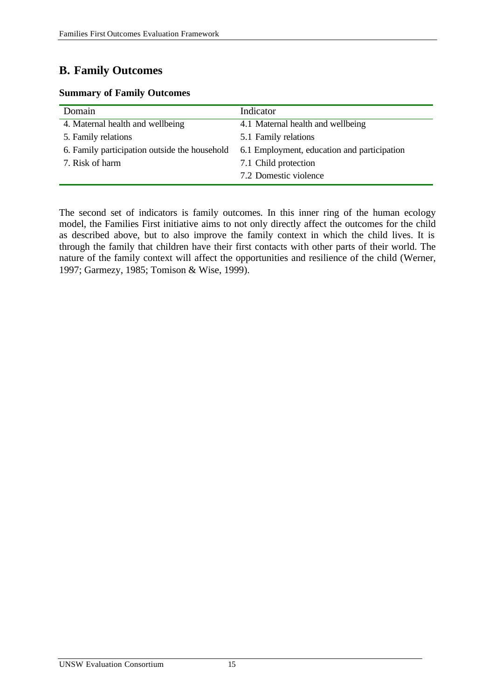# **B. Family Outcomes**

### **Summary of Family Outcomes**

| Domain                                        | Indicator                                   |
|-----------------------------------------------|---------------------------------------------|
| 4. Maternal health and wellbeing              | 4.1 Maternal health and wellbeing           |
| 5. Family relations                           | 5.1 Family relations                        |
| 6. Family participation outside the household | 6.1 Employment, education and participation |
| 7. Risk of harm                               | 7.1 Child protection                        |
|                                               | 7.2 Domestic violence                       |

The second set of indicators is family outcomes. In this inner ring of the human ecology model, the Families First initiative aims to not only directly affect the outcomes for the child as described above, but to also improve the family context in which the child lives. It is through the family that children have their first contacts with other parts of their world. The nature of the family context will affect the opportunities and resilience of the child (Werner, 1997; Garmezy, 1985; Tomison & Wise, 1999).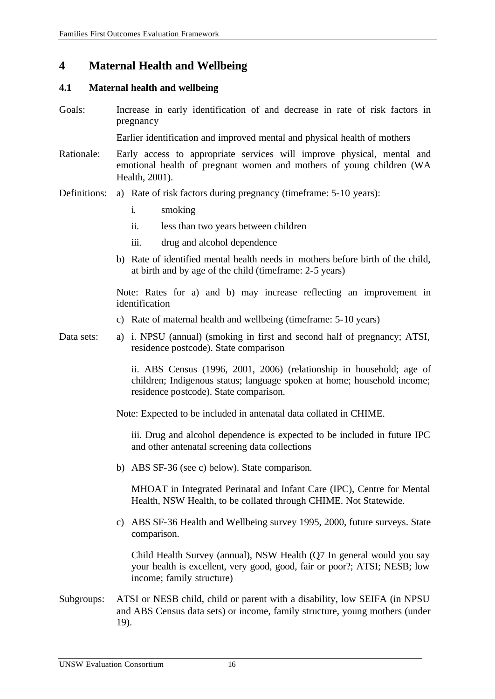# **4 Maternal Health and Wellbeing**

#### **4.1 Maternal health and wellbeing**

Goals: Increase in early identification of and decrease in rate of risk factors in pregnancy

Earlier identification and improved mental and physical health of mothers

- Rationale: Early access to appropriate services will improve physical, mental and emotional health of pregnant women and mothers of young children (WA Health, 2001).
- Definitions: a) Rate of risk factors during pregnancy (timeframe: 5-10 years):
	- i. smoking
	- ii. less than two years between children
	- iii. drug and alcohol dependence
	- b) Rate of identified mental health needs in mothers before birth of the child, at birth and by age of the child (timeframe: 2-5 years)

Note: Rates for a) and b) may increase reflecting an improvement in identification

- c) Rate of maternal health and wellbeing (timeframe: 5-10 years)
- Data sets: a) i. NPSU (annual) (smoking in first and second half of pregnancy; ATSI, residence postcode). State comparison

ii. ABS Census (1996, 2001, 2006) (relationship in household; age of children; Indigenous status; language spoken at home; household income; residence postcode). State comparison.

Note: Expected to be included in antenatal data collated in CHIME.

iii. Drug and alcohol dependence is expected to be included in future IPC and other antenatal screening data collections

b) ABS SF-36 (see c) below). State comparison.

MHOAT in Integrated Perinatal and Infant Care (IPC), Centre for Mental Health, NSW Health, to be collated through CHIME. Not Statewide.

c) ABS SF-36 Health and Wellbeing survey 1995, 2000, future surveys. State comparison.

Child Health Survey (annual), NSW Health (Q7 In general would you say your health is excellent, very good, good, fair or poor?; ATSI; NESB; low income; family structure)

Subgroups: ATSI or NESB child, child or parent with a disability, low SEIFA (in NPSU and ABS Census data sets) or income, family structure, young mothers (under 19).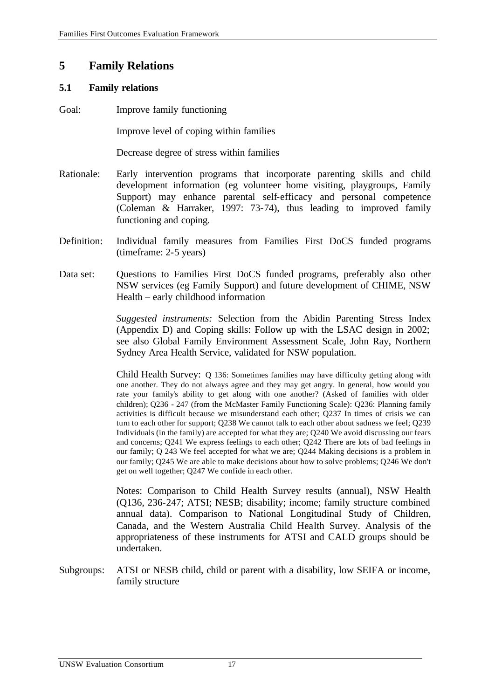# **5 Family Relations**

#### **5.1 Family relations**

Goal: Improve family functioning

Improve level of coping within families

Decrease degree of stress within families

- Rationale: Early intervention programs that incorporate parenting skills and child development information (eg volunteer home visiting, playgroups, Family Support) may enhance parental self-efficacy and personal competence (Coleman & Harraker, 1997: 73-74), thus leading to improved family functioning and coping.
- Definition: Individual family measures from Families First DoCS funded programs (timeframe: 2-5 years)
- Data set: Questions to Families First DoCS funded programs, preferably also other NSW services (eg Family Support) and future development of CHIME, NSW Health – early childhood information

*Suggested instruments:* Selection from the Abidin Parenting Stress Index (Appendix D) and Coping skills: Follow up with the LSAC design in 2002; see also Global Family Environment Assessment Scale, John Ray, Northern Sydney Area Health Service, validated for NSW population.

Child Health Survey: Q 136: Sometimes families may have difficulty getting along with one another. They do not always agree and they may get angry. In general, how would you rate your family's ability to get along with one another? (Asked of families with older children); Q236 - 247 (from the McMaster Family Functioning Scale): Q236: Planning family activities is difficult because we misunderstand each other; Q237 In times of crisis we can turn to each other for support; Q238 We cannot talk to each other about sadness we feel; Q239 Individuals (in the family) are accepted for what they are; Q240 We avoid discussing our fears and concerns; Q241 We express feelings to each other; Q242 There are lots of bad feelings in our family; Q 243 We feel accepted for what we are; Q244 Making decisions is a problem in our family; Q245 We are able to make decisions about how to solve problems; Q246 We don't get on well together; Q247 We confide in each other.

Notes: Comparison to Child Health Survey results (annual), NSW Health (Q136, 236-247; ATSI; NESB; disability; income; family structure combined annual data). Comparison to National Longitudinal Study of Children, Canada, and the Western Australia Child Health Survey. Analysis of the appropriateness of these instruments for ATSI and CALD groups should be undertaken.

Subgroups: ATSI or NESB child, child or parent with a disability, low SEIFA or income, family structure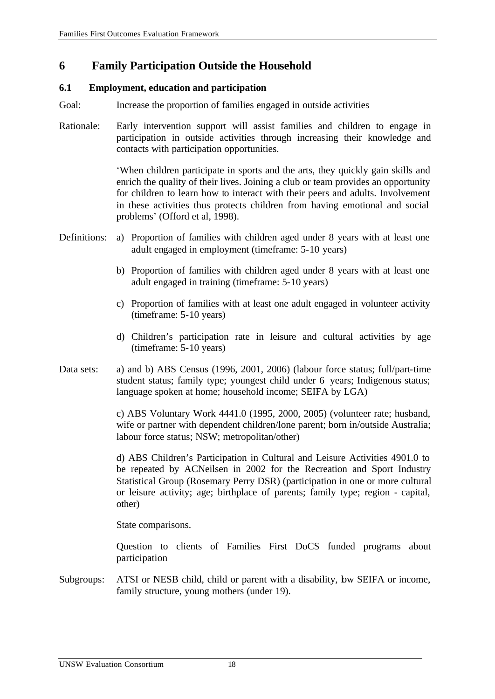# **6 Family Participation Outside the Household**

### **6.1 Employment, education and participation**

Goal: Increase the proportion of families engaged in outside activities

Rationale: Early intervention support will assist families and children to engage in participation in outside activities through increasing their knowledge and contacts with participation opportunities.

> 'When children participate in sports and the arts, they quickly gain skills and enrich the quality of their lives. Joining a club or team provides an opportunity for children to learn how to interact with their peers and adults. Involvement in these activities thus protects children from having emotional and social problems' (Offord et al, 1998).

- Definitions: a) Proportion of families with children aged under 8 years with at least one adult engaged in employment (timeframe: 5-10 years)
	- b) Proportion of families with children aged under 8 years with at least one adult engaged in training (timeframe: 5-10 years)
	- c) Proportion of families with at least one adult engaged in volunteer activity (timeframe: 5-10 years)
	- d) Children's participation rate in leisure and cultural activities by age (timeframe: 5-10 years)
- Data sets: a) and b) ABS Census (1996, 2001, 2006) (labour force status; full/part-time student status; family type; youngest child under 6 years; Indigenous status; language spoken at home; household income; SEIFA by LGA)

c) ABS Voluntary Work 4441.0 (1995, 2000, 2005) (volunteer rate; husband, wife or partner with dependent children/lone parent; born in/outside Australia; labour force status; NSW; metropolitan/other)

d) ABS Children's Participation in Cultural and Leisure Activities 4901.0 to be repeated by ACNeilsen in 2002 for the Recreation and Sport Industry Statistical Group (Rosemary Perry DSR) (participation in one or more cultural or leisure activity; age; birthplace of parents; family type; region - capital, other)

State comparisons.

Question to clients of Families First DoCS funded programs about participation

Subgroups: ATSI or NESB child, child or parent with a disability, bw SEIFA or income, family structure, young mothers (under 19).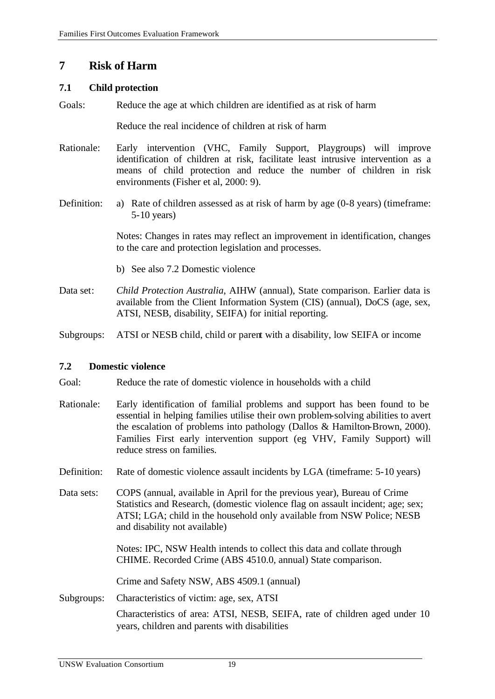# **7 Risk of Harm**

### **7.1 Child protection**

Goals: Reduce the age at which children are identified as at risk of harm

Reduce the real incidence of children at risk of harm

- Rationale: Early intervention (VHC, Family Support, Playgroups) will improve identification of children at risk, facilitate least intrusive intervention as a means of child protection and reduce the number of children in risk environments (Fisher et al, 2000: 9).
- Definition: a) Rate of children assessed as at risk of harm by age (0-8 years) (timeframe: 5-10 years)

Notes: Changes in rates may reflect an improvement in identification, changes to the care and protection legislation and processes.

- b) See also 7.2 Domestic violence
- Data set: *Child Protection Australia*, AIHW (annual), State comparison. Earlier data is available from the Client Information System (CIS) (annual), DoCS (age, sex, ATSI, NESB, disability, SEIFA) for initial reporting.

Subgroups: ATSI or NESB child, child or parent with a disability, low SEIFA or income

### **7.2 Domestic violence**

Goal: Reduce the rate of domestic violence in households with a child

- Rationale: Early identification of familial problems and support has been found to be essential in helping families utilise their own problem-solving abilities to avert the escalation of problems into pathology (Dallos & Hamilton-Brown, 2000). Families First early intervention support (eg VHV, Family Support) will reduce stress on families.
- Definition: Rate of domestic violence assault incidents by LGA (timeframe: 5-10 years)
- Data sets: COPS (annual, available in April for the previous year), Bureau of Crime Statistics and Research, (domestic violence flag on assault incident; age; sex; ATSI; LGA; child in the household only available from NSW Police; NESB and disability not available)

Notes: IPC, NSW Health intends to collect this data and collate through CHIME. Recorded Crime (ABS 4510.0, annual) State comparison.

Crime and Safety NSW, ABS 4509.1 (annual)

Subgroups: Characteristics of victim: age, sex, ATSI

Characteristics of area: ATSI, NESB, SEIFA, rate of children aged under 10 years, children and parents with disabilities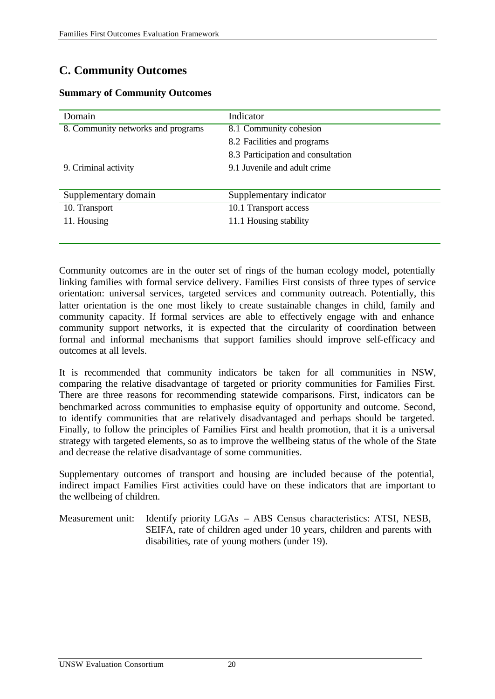# **C. Community Outcomes**

| Domain                             | Indicator                          |
|------------------------------------|------------------------------------|
| 8. Community networks and programs | 8.1 Community cohesion             |
|                                    | 8.2 Facilities and programs        |
|                                    | 8.3 Participation and consultation |
| 9. Criminal activity               | 9.1 Juvenile and adult crime       |
|                                    |                                    |
| Supplementary domain               | Supplementary indicator            |
| 10. Transport                      | 10.1 Transport access              |
| 11. Housing                        | 11.1 Housing stability             |
|                                    |                                    |

#### **Summary of Community Outcomes**

Community outcomes are in the outer set of rings of the human ecology model, potentially linking families with formal service delivery. Families First consists of three types of service orientation: universal services, targeted services and community outreach. Potentially, this latter orientation is the one most likely to create sustainable changes in child, family and community capacity. If formal services are able to effectively engage with and enhance community support networks, it is expected that the circularity of coordination between formal and informal mechanisms that support families should improve self-efficacy and outcomes at all levels.

It is recommended that community indicators be taken for all communities in NSW, comparing the relative disadvantage of targeted or priority communities for Families First. There are three reasons for recommending statewide comparisons. First, indicators can be benchmarked across communities to emphasise equity of opportunity and outcome. Second, to identify communities that are relatively disadvantaged and perhaps should be targeted. Finally, to follow the principles of Families First and health promotion, that it is a universal strategy with targeted elements, so as to improve the wellbeing status of the whole of the State and decrease the relative disadvantage of some communities.

Supplementary outcomes of transport and housing are included because of the potential, indirect impact Families First activities could have on these indicators that are important to the wellbeing of children.

Measurement unit: Identify priority LGAs – ABS Census characteristics: ATSI, NESB, SEIFA, rate of children aged under 10 years, children and parents with disabilities, rate of young mothers (under 19).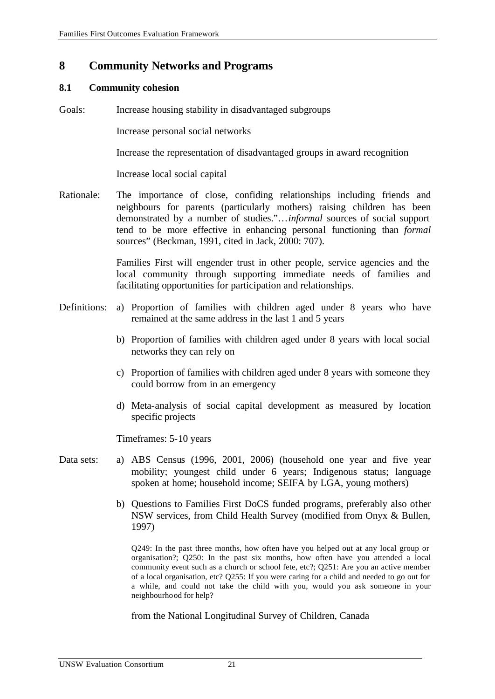# **8 Community Networks and Programs**

#### **8.1 Community cohesion**

Goals: Increase housing stability in disadvantaged subgroups

Increase personal social networks

Increase the representation of disadvantaged groups in award recognition

Increase local social capital

Rationale: The importance of close, confiding relationships including friends and neighbours for parents (particularly mothers) raising children has been demonstrated by a number of studies."…*informal* sources of social support tend to be more effective in enhancing personal functioning than *formal*  sources" (Beckman, 1991, cited in Jack, 2000: 707).

> Families First will engender trust in other people, service agencies and the local community through supporting immediate needs of families and facilitating opportunities for participation and relationships.

- Definitions: a) Proportion of families with children aged under 8 years who have remained at the same address in the last 1 and 5 years
	- b) Proportion of families with children aged under 8 years with local social networks they can rely on
	- c) Proportion of families with children aged under 8 years with someone they could borrow from in an emergency
	- d) Meta-analysis of social capital development as measured by location specific projects

Timeframes: 5-10 years

- Data sets: a) ABS Census (1996, 2001, 2006) (household one year and five year mobility; youngest child under 6 years; Indigenous status; language spoken at home; household income; SEIFA by LGA, young mothers)
	- b) Questions to Families First DoCS funded programs, preferably also other NSW services, from Child Health Survey (modified from Onyx & Bullen, 1997)

Q249: In the past three months, how often have you helped out at any local group or organisation?; Q250: In the past six months, how often have you attended a local community event such as a church or school fete, etc?; Q251: Are you an active member of a local organisation, etc? Q255: If you were caring for a child and needed to go out for a while, and could not take the child with you, would you ask someone in your neighbourhood for help?

from the National Longitudinal Survey of Children, Canada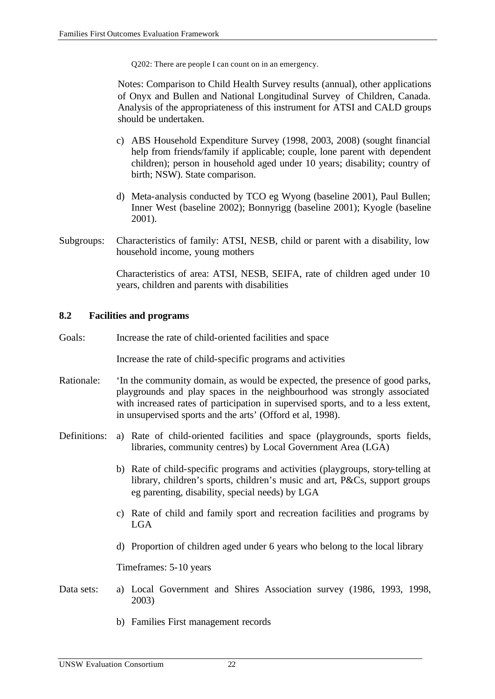Q202: There are people I can count on in an emergency.

Notes: Comparison to Child Health Survey results (annual), other applications of Onyx and Bullen and National Longitudinal Survey of Children, Canada. Analysis of the appropriateness of this instrument for ATSI and CALD groups should be undertaken.

- c) ABS Household Expenditure Survey (1998, 2003, 2008) (sought financial help from friends/family if applicable; couple, lone parent with dependent children); person in household aged under 10 years; disability; country of birth; NSW). State comparison.
- d) Meta-analysis conducted by TCO eg Wyong (baseline 2001), Paul Bullen; Inner West (baseline 2002); Bonnyrigg (baseline 2001); Kyogle (baseline 2001).
- Subgroups: Characteristics of family: ATSI, NESB, child or parent with a disability, low household income, young mothers

Characteristics of area: ATSI, NESB, SEIFA, rate of children aged under 10 years, children and parents with disabilities

#### **8.2 Facilities and programs**

Goals: Increase the rate of child-oriented facilities and space

Increase the rate of child-specific programs and activities

- Rationale: 'In the community domain, as would be expected, the presence of good parks, playgrounds and play spaces in the neighbourhood was strongly associated with increased rates of participation in supervised sports, and to a less extent, in unsupervised sports and the arts' (Offord et al, 1998).
- Definitions: a) Rate of child-oriented facilities and space (playgrounds, sports fields, libraries, community centres) by Local Government Area (LGA)
	- b) Rate of child-specific programs and activities (playgroups, story-telling at library, children's sports, children's music and art, P&Cs, support groups eg parenting, disability, special needs) by LGA
	- c) Rate of child and family sport and recreation facilities and programs by LGA
	- d) Proportion of children aged under 6 years who belong to the local library

Timeframes: 5-10 years

- Data sets: a) Local Government and Shires Association survey (1986, 1993, 1998, 2003)
	- b) Families First management records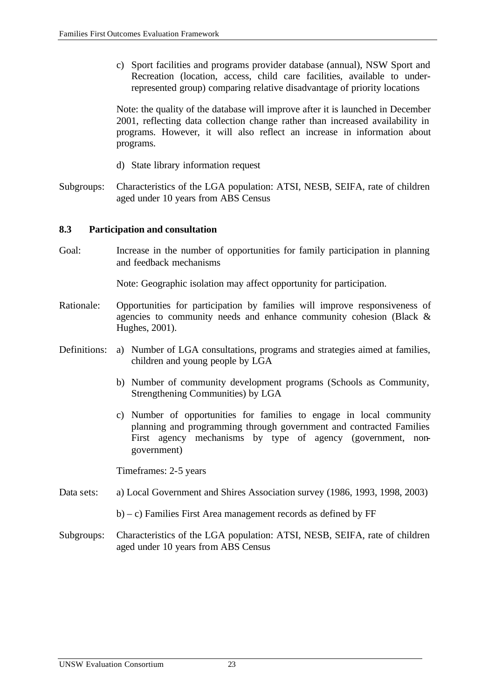c) Sport facilities and programs provider database (annual), NSW Sport and Recreation (location, access, child care facilities, available to underrepresented group) comparing relative disadvantage of priority locations

Note: the quality of the database will improve after it is launched in December 2001, reflecting data collection change rather than increased availability in programs. However, it will also reflect an increase in information about programs.

- d) State library information request
- Subgroups: Characteristics of the LGA population: ATSI, NESB, SEIFA, rate of children aged under 10 years from ABS Census

#### **8.3 Participation and consultation**

Goal: Increase in the number of opportunities for family participation in planning and feedback mechanisms

Note: Geographic isolation may affect opportunity for participation.

- Rationale: Opportunities for participation by families will improve responsiveness of agencies to community needs and enhance community cohesion (Black  $\&$ Hughes, 2001).
- Definitions: a) Number of LGA consultations, programs and strategies aimed at families, children and young people by LGA
	- b) Number of community development programs (Schools as Community, Strengthening Communities) by LGA
	- c) Number of opportunities for families to engage in local community planning and programming through government and contracted Families First agency mechanisms by type of agency (government, nongovernment)

Timeframes: 2-5 years

- Data sets: a) Local Government and Shires Association survey (1986, 1993, 1998, 2003)
	- b) c) Families First Area management records as defined by FF
- Subgroups: Characteristics of the LGA population: ATSI, NESB, SEIFA, rate of children aged under 10 years from ABS Census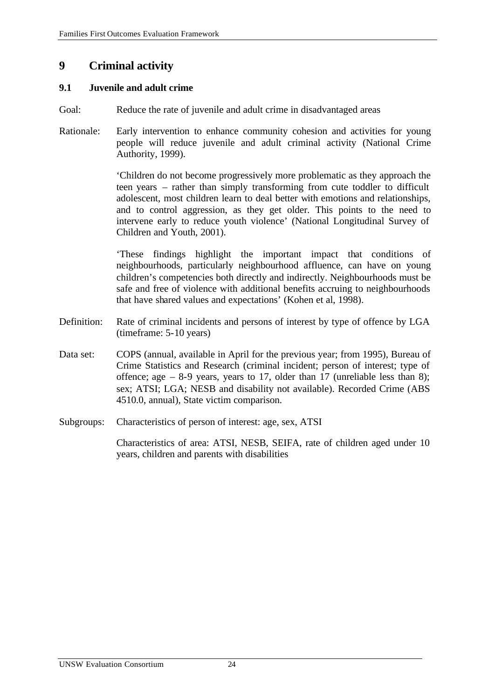# **9 Criminal activity**

#### **9.1 Juvenile and adult crime**

- Goal: Reduce the rate of juvenile and adult crime in disadvantaged areas
- Rationale: Early intervention to enhance community cohesion and activities for young people will reduce juvenile and adult criminal activity (National Crime Authority, 1999).

'Children do not become progressively more problematic as they approach the teen years – rather than simply transforming from cute toddler to difficult adolescent, most children learn to deal better with emotions and relationships, and to control aggression, as they get older. This points to the need to intervene early to reduce youth violence' (National Longitudinal Survey of Children and Youth, 2001).

'These findings highlight the important impact that conditions of neighbourhoods, particularly neighbourhood affluence, can have on young children's competencies both directly and indirectly. Neighbourhoods must be safe and free of violence with additional benefits accruing to neighbourhoods that have shared values and expectations' (Kohen et al, 1998).

- Definition: Rate of criminal incidents and persons of interest by type of offence by LGA (timeframe: 5-10 years)
- Data set: COPS (annual, available in April for the previous year; from 1995), Bureau of Crime Statistics and Research (criminal incident; person of interest; type of offence; age  $-8-9$  years, years to 17, older than 17 (unreliable less than 8); sex; ATSI; LGA; NESB and disability not available). Recorded Crime (ABS 4510.0, annual), State victim comparison.
- Subgroups: Characteristics of person of interest: age, sex, ATSI

Characteristics of area: ATSI, NESB, SEIFA, rate of children aged under 10 years, children and parents with disabilities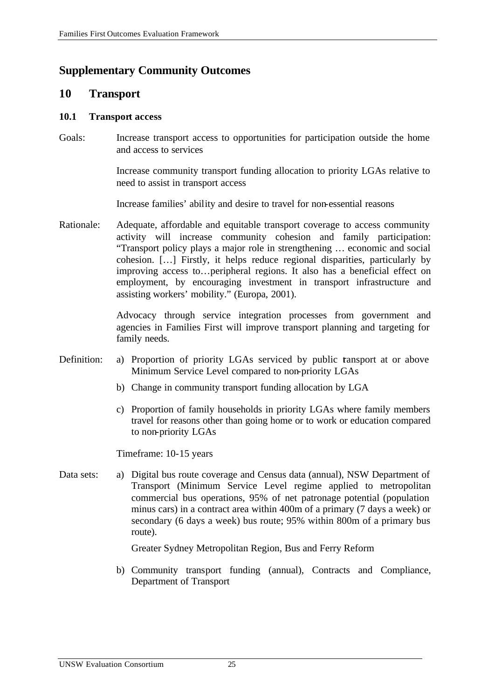# **Supplementary Community Outcomes**

## **10 Transport**

#### **10.1 Transport access**

Goals: Increase transport access to opportunities for participation outside the home and access to services

> Increase community transport funding allocation to priority LGAs relative to need to assist in transport access

Increase families' ability and desire to travel for non-essential reasons

Rationale: Adequate, affordable and equitable transport coverage to access community activity will increase community cohesion and family participation: "Transport policy plays a major role in strengthening … economic and social cohesion. […] Firstly, it helps reduce regional disparities, particularly by improving access to…peripheral regions. It also has a beneficial effect on employment, by encouraging investment in transport infrastructure and assisting workers' mobility." (Europa, 2001).

> Advocacy through service integration processes from government and agencies in Families First will improve transport planning and targeting for family needs.

- Definition: a) Proportion of priority LGAs serviced by public tansport at or above Minimum Service Level compared to non-priority LGAs
	- b) Change in community transport funding allocation by LGA
	- c) Proportion of family households in priority LGAs where family members travel for reasons other than going home or to work or education compared to non-priority LGAs

Timeframe: 10-15 years

Data sets: a) Digital bus route coverage and Census data (annual), NSW Department of Transport (Minimum Service Level regime applied to metropolitan commercial bus operations, 95% of net patronage potential (population minus cars) in a contract area within 400m of a primary (7 days a week) or secondary (6 days a week) bus route; 95% within 800m of a primary bus route).

Greater Sydney Metropolitan Region, Bus and Ferry Reform

b) Community transport funding (annual), Contracts and Compliance, Department of Transport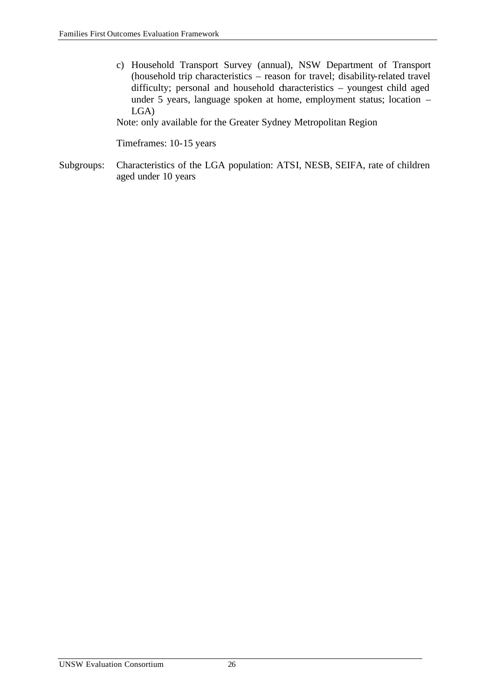c) Household Transport Survey (annual), NSW Department of Transport (household trip characteristics – reason for travel; disability-related travel difficulty; personal and household characteristics – youngest child aged under 5 years, language spoken at home, employment status; location – LGA)

Note: only available for the Greater Sydney Metropolitan Region

Timeframes: 10-15 years

Subgroups: Characteristics of the LGA population: ATSI, NESB, SEIFA, rate of children aged under 10 years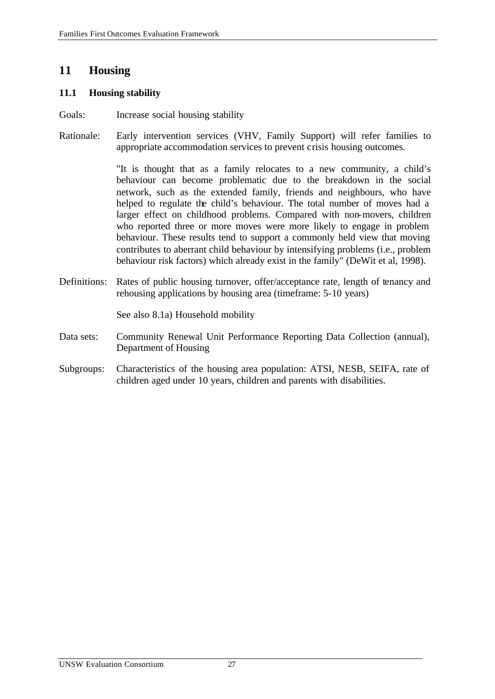# **11 Housing**

#### **11.1 Housing stability**

- Goals: Increase social housing stability
- Rationale: Early intervention services (VHV, Family Support) will refer families to appropriate accommodation services to prevent crisis housing outcomes.

"It is thought that as a family relocates to a new community, a child's behaviour can become problematic due to the breakdown in the social network, such as the extended family, friends and neighbours, who have helped to regulate the child's behaviour. The total number of moves had a larger effect on childhood problems. Compared with non-movers, children who reported three or more moves were more likely to engage in problem behaviour. These results tend to support a commonly held view that moving contributes to aberrant child behaviour by intensifying problems (i.e., problem behaviour risk factors) which already exist in the family" (DeWit et al, 1998).

Definitions: Rates of public housing turnover, offer/acceptance rate, length of tenancy and rehousing applications by housing area (timeframe: 5-10 years)

See also 8.1a) Household mobility

- Data sets: Community Renewal Unit Performance Reporting Data Collection (annual), Department of Housing
- Subgroups: Characteristics of the housing area population: ATSI, NESB, SEIFA, rate of children aged under 10 years, children and parents with disabilities.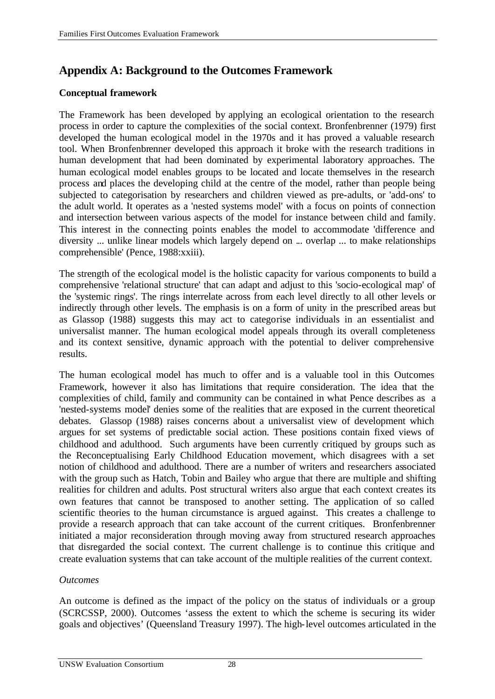# **Appendix A: Background to the Outcomes Framework**

## **Conceptual framework**

The Framework has been developed by applying an ecological orientation to the research process in order to capture the complexities of the social context. Bronfenbrenner (1979) first developed the human ecological model in the 1970s and it has proved a valuable research tool. When Bronfenbrenner developed this approach it broke with the research traditions in human development that had been dominated by experimental laboratory approaches. The human ecological model enables groups to be located and locate themselves in the research process and places the developing child at the centre of the model, rather than people being subjected to categorisation by researchers and children viewed as pre-adults, or 'add-ons' to the adult world. It operates as a 'nested systems model' with a focus on points of connection and intersection between various aspects of the model for instance between child and family. This interest in the connecting points enables the model to accommodate 'difference and diversity ... unlike linear models which largely depend on ... overlap ... to make relationships comprehensible' (Pence, 1988:xxiii).

The strength of the ecological model is the holistic capacity for various components to build a comprehensive 'relational structure' that can adapt and adjust to this 'socio-ecological map' of the 'systemic rings'. The rings interrelate across from each level directly to all other levels or indirectly through other levels. The emphasis is on a form of unity in the prescribed areas but as Glassop (1988) suggests this may act to categorise individuals in an essentialist and universalist manner. The human ecological model appeals through its overall completeness and its context sensitive, dynamic approach with the potential to deliver comprehensive results.

The human ecological model has much to offer and is a valuable tool in this Outcomes Framework, however it also has limitations that require consideration. The idea that the complexities of child, family and community can be contained in what Pence describes as a 'nested-systems model' denies some of the realities that are exposed in the current theoretical debates. Glassop (1988) raises concerns about a universalist view of development which argues for set systems of predictable social action. These positions contain fixed views of childhood and adulthood. Such arguments have been currently critiqued by groups such as the Reconceptualising Early Childhood Education movement, which disagrees with a set notion of childhood and adulthood. There are a number of writers and researchers associated with the group such as Hatch, Tobin and Bailey who argue that there are multiple and shifting realities for children and adults. Post structural writers also argue that each context creates its own features that cannot be transposed to another setting. The application of so called scientific theories to the human circumstance is argued against. This creates a challenge to provide a research approach that can take account of the current critiques. Bronfenbrenner initiated a major reconsideration through moving away from structured research approaches that disregarded the social context. The current challenge is to continue this critique and create evaluation systems that can take account of the multiple realities of the current context.

### *Outcomes*

An outcome is defined as the impact of the policy on the status of individuals or a group (SCRCSSP, 2000). Outcomes 'assess the extent to which the scheme is securing its wider goals and objectives' (Queensland Treasury 1997). The high-level outcomes articulated in the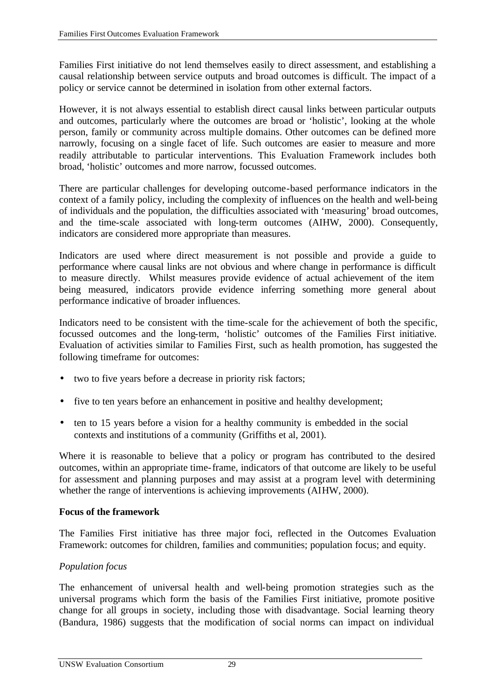Families First initiative do not lend themselves easily to direct assessment, and establishing a causal relationship between service outputs and broad outcomes is difficult. The impact of a policy or service cannot be determined in isolation from other external factors.

However, it is not always essential to establish direct causal links between particular outputs and outcomes, particularly where the outcomes are broad or 'holistic', looking at the whole person, family or community across multiple domains. Other outcomes can be defined more narrowly, focusing on a single facet of life. Such outcomes are easier to measure and more readily attributable to particular interventions. This Evaluation Framework includes both broad, 'holistic' outcomes and more narrow, focussed outcomes.

There are particular challenges for developing outcome-based performance indicators in the context of a family policy, including the complexity of influences on the health and well-being of individuals and the population, the difficulties associated with 'measuring' broad outcomes, and the time-scale associated with long-term outcomes (AIHW, 2000). Consequently, indicators are considered more appropriate than measures.

Indicators are used where direct measurement is not possible and provide a guide to performance where causal links are not obvious and where change in performance is difficult to measure directly. Whilst measures provide evidence of actual achievement of the item being measured, indicators provide evidence inferring something more general about performance indicative of broader influences.

Indicators need to be consistent with the time-scale for the achievement of both the specific, focussed outcomes and the long-term, 'holistic' outcomes of the Families First initiative. Evaluation of activities similar to Families First, such as health promotion, has suggested the following timeframe for outcomes:

- two to five years before a decrease in priority risk factors;
- five to ten years before an enhancement in positive and healthy development;
- ten to 15 years before a vision for a healthy community is embedded in the social contexts and institutions of a community (Griffiths et al, 2001).

Where it is reasonable to believe that a policy or program has contributed to the desired outcomes, within an appropriate time-frame, indicators of that outcome are likely to be useful for assessment and planning purposes and may assist at a program level with determining whether the range of interventions is achieving improvements (AIHW, 2000).

### **Focus of the framework**

The Families First initiative has three major foci, reflected in the Outcomes Evaluation Framework: outcomes for children, families and communities; population focus; and equity.

### *Population focus*

The enhancement of universal health and well-being promotion strategies such as the universal programs which form the basis of the Families First initiative, promote positive change for all groups in society, including those with disadvantage. Social learning theory (Bandura, 1986) suggests that the modification of social norms can impact on individual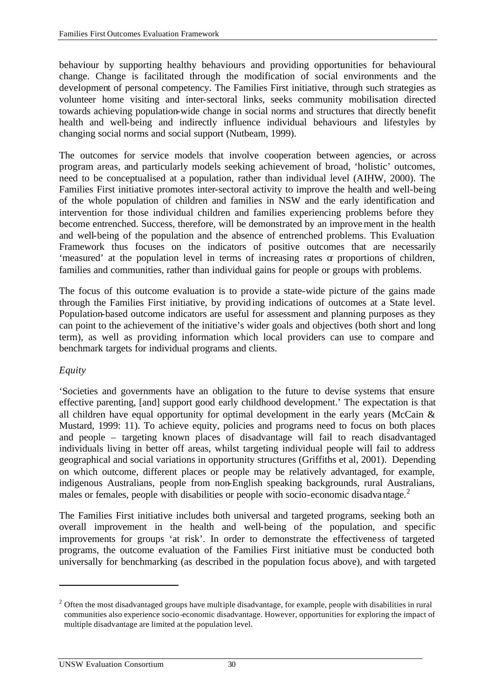behaviour by supporting healthy behaviours and providing opportunities for behavioural change. Change is facilitated through the modification of social environments and the development of personal competency. The Families First initiative, through such strategies as volunteer home visiting and inter-sectoral links, seeks community mobilisation directed towards achieving population-wide change in social norms and structures that directly benefit health and well-being and indirectly influence individual behaviours and lifestyles by changing social norms and social support (Nutbeam, 1999).

The outcomes for service models that involve cooperation between agencies, or across program areas, and particularly models seeking achievement of broad, 'holistic' outcomes, need to be conceptualised at a population, rather than individual level (AIHW, 2000). The Families First initiative promotes inter-sectoral activity to improve the health and well-being of the whole population of children and families in NSW and the early identification and intervention for those individual children and families experiencing problems before they become entrenched. Success, therefore, will be demonstrated by an improvement in the health and well-being of the population and the absence of entrenched problems. This Evaluation Framework thus focuses on the indicators of positive outcomes that are necessarily 'measured' at the population level in terms of increasing rates or proportions of children, families and communities, rather than individual gains for people or groups with problems.

The focus of this outcome evaluation is to provide a state-wide picture of the gains made through the Families First initiative, by providing indications of outcomes at a State level. Population-based outcome indicators are useful for assessment and planning purposes as they can point to the achievement of the initiative's wider goals and objectives (both short and long term), as well as providing information which local providers can use to compare and benchmark targets for individual programs and clients.

# *Equity*

l

'Societies and governments have an obligation to the future to devise systems that ensure effective parenting, [and] support good early childhood development.' The expectation is that all children have equal opportunity for optimal development in the early years (McCain & Mustard, 1999: 11). To achieve equity, policies and programs need to focus on both places and people – targeting known places of disadvantage will fail to reach disadvantaged individuals living in better off areas, whilst targeting individual people will fail to address geographical and social variations in opportunity structures (Griffiths et al, 2001). Depending on which outcome, different places or people may be relatively advantaged, for example, indigenous Australians, people from non-English speaking backgrounds, rural Australians, males or females, people with disabilities or people with socio-economic disadvantage.<sup>2</sup>

The Families First initiative includes both universal and targeted programs, seeking both an overall improvement in the health and well-being of the population, and specific improvements for groups 'at risk'. In order to demonstrate the effectiveness of targeted programs, the outcome evaluation of the Families First initiative must be conducted both universally for benchmarking (as described in the population focus above), and with targeted

 $2$  Often the most disadvantaged groups have multiple disadvantage, for example, people with disabilities in rural communities also experience socio-economic disadvantage. However, opportunities for exploring the impact of multiple disadvantage are limited at the population level.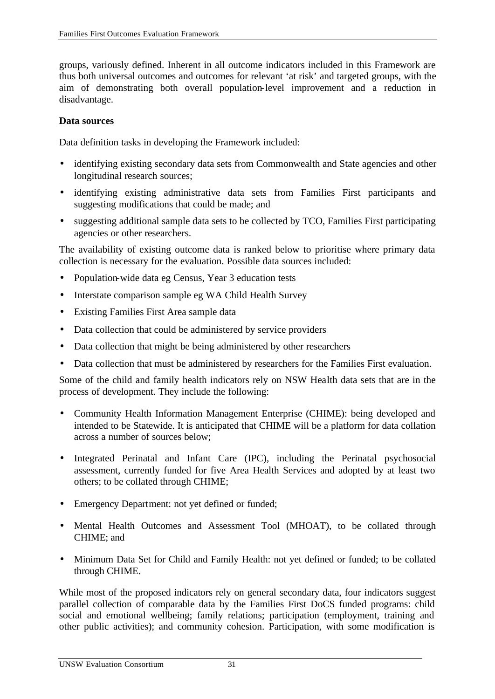groups, variously defined. Inherent in all outcome indicators included in this Framework are thus both universal outcomes and outcomes for relevant 'at risk' and targeted groups, with the aim of demonstrating both overall population-level improvement and a reduction in disadvantage.

## **Data sources**

Data definition tasks in developing the Framework included:

- identifying existing secondary data sets from Commonwealth and State agencies and other longitudinal research sources;
- identifying existing administrative data sets from Families First participants and suggesting modifications that could be made; and
- suggesting additional sample data sets to be collected by TCO, Families First participating agencies or other researchers.

The availability of existing outcome data is ranked below to prioritise where primary data collection is necessary for the evaluation. Possible data sources included:

- Population-wide data eg Census, Year 3 education tests
- Interstate comparison sample eg WA Child Health Survey
- Existing Families First Area sample data
- Data collection that could be administered by service providers
- Data collection that might be being administered by other researchers
- Data collection that must be administered by researchers for the Families First evaluation.

Some of the child and family health indicators rely on NSW Health data sets that are in the process of development. They include the following:

- Community Health Information Management Enterprise (CHIME): being developed and intended to be Statewide. It is anticipated that CHIME will be a platform for data collation across a number of sources below;
- Integrated Perinatal and Infant Care (IPC), including the Perinatal psychosocial assessment, currently funded for five Area Health Services and adopted by at least two others; to be collated through CHIME;
- Emergency Department: not yet defined or funded;
- Mental Health Outcomes and Assessment Tool (MHOAT), to be collated through CHIME; and
- Minimum Data Set for Child and Family Health: not yet defined or funded; to be collated through CHIME.

While most of the proposed indicators rely on general secondary data, four indicators suggest parallel collection of comparable data by the Families First DoCS funded programs: child social and emotional wellbeing; family relations; participation (employment, training and other public activities); and community cohesion. Participation, with some modification is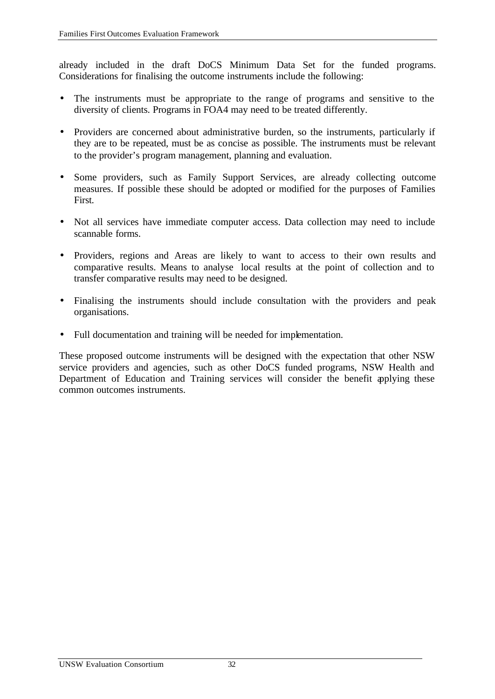already included in the draft DoCS Minimum Data Set for the funded programs. Considerations for finalising the outcome instruments include the following:

- The instruments must be appropriate to the range of programs and sensitive to the diversity of clients. Programs in FOA4 may need to be treated differently.
- Providers are concerned about administrative burden, so the instruments, particularly if they are to be repeated, must be as concise as possible. The instruments must be relevant to the provider's program management, planning and evaluation.
- Some providers, such as Family Support Services, are already collecting outcome measures. If possible these should be adopted or modified for the purposes of Families First.
- Not all services have immediate computer access. Data collection may need to include scannable forms.
- Providers, regions and Areas are likely to want to access to their own results and comparative results. Means to analyse local results at the point of collection and to transfer comparative results may need to be designed.
- Finalising the instruments should include consultation with the providers and peak organisations.
- Full documentation and training will be needed for implementation.

These proposed outcome instruments will be designed with the expectation that other NSW service providers and agencies, such as other DoCS funded programs, NSW Health and Department of Education and Training services will consider the benefit applying these common outcomes instruments.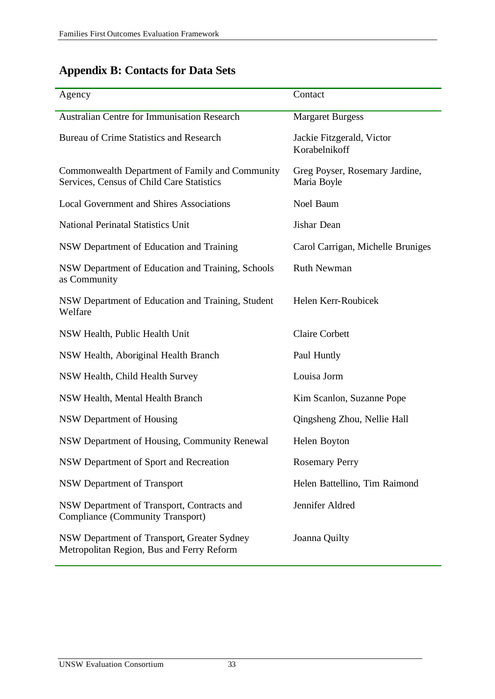# **Appendix B: Contacts for Data Sets**

| Agency                                                                                       | Contact                                       |
|----------------------------------------------------------------------------------------------|-----------------------------------------------|
| <b>Australian Centre for Immunisation Research</b>                                           | <b>Margaret Burgess</b>                       |
| Bureau of Crime Statistics and Research                                                      | Jackie Fitzgerald, Victor<br>Korabelnikoff    |
| Commonwealth Department of Family and Community<br>Services, Census of Child Care Statistics | Greg Poyser, Rosemary Jardine,<br>Maria Boyle |
| <b>Local Government and Shires Associations</b>                                              | Noel Baum                                     |
| <b>National Perinatal Statistics Unit</b>                                                    | Jishar Dean                                   |
| NSW Department of Education and Training                                                     | Carol Carrigan, Michelle Bruniges             |
| NSW Department of Education and Training, Schools<br>as Community                            | <b>Ruth Newman</b>                            |
| NSW Department of Education and Training, Student<br>Welfare                                 | Helen Kerr-Roubicek                           |
| NSW Health, Public Health Unit                                                               | <b>Claire Corbett</b>                         |
| NSW Health, Aboriginal Health Branch                                                         | Paul Huntly                                   |
| NSW Health, Child Health Survey                                                              | Louisa Jorm                                   |
| NSW Health, Mental Health Branch                                                             | Kim Scanlon, Suzanne Pope                     |
| NSW Department of Housing                                                                    | Qingsheng Zhou, Nellie Hall                   |
| NSW Department of Housing, Community Renewal                                                 | Helen Boyton                                  |
| NSW Department of Sport and Recreation                                                       | <b>Rosemary Perry</b>                         |
| <b>NSW Department of Transport</b>                                                           | Helen Battellino, Tim Raimond                 |
| NSW Department of Transport, Contracts and<br><b>Compliance (Community Transport)</b>        | Jennifer Aldred                               |
| NSW Department of Transport, Greater Sydney<br>Metropolitan Region, Bus and Ferry Reform     | Joanna Quilty                                 |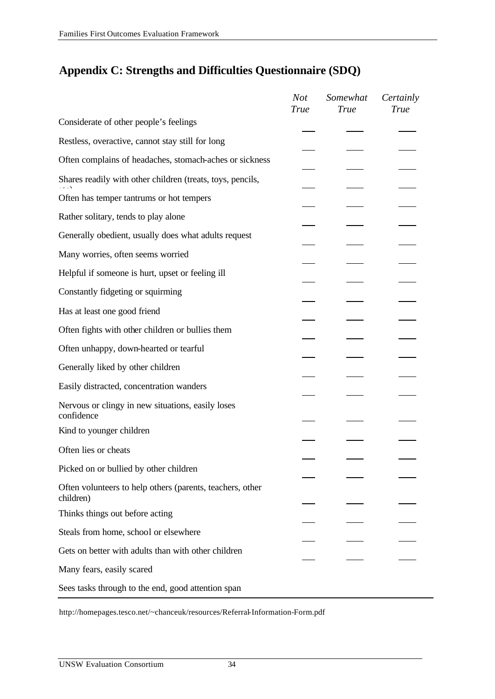# **Appendix C: Strengths and Difficulties Questionnaire (SDQ)**

|                                                                        | <b>Not</b><br><b>True</b> | Somewhat<br><b>True</b> | Certainly<br>True |
|------------------------------------------------------------------------|---------------------------|-------------------------|-------------------|
| Considerate of other people's feelings                                 |                           |                         |                   |
| Restless, overactive, cannot stay still for long                       |                           |                         |                   |
| Often complains of headaches, stomach-aches or sickness                |                           |                         |                   |
| Shares readily with other children (treats, toys, pencils,             |                           |                         |                   |
| Often has temper tantrums or hot tempers                               |                           |                         |                   |
| Rather solitary, tends to play alone                                   |                           |                         |                   |
| Generally obedient, usually does what adults request                   |                           |                         |                   |
| Many worries, often seems worried                                      |                           |                         |                   |
| Helpful if someone is hurt, upset or feeling ill                       |                           |                         |                   |
| Constantly fidgeting or squirming                                      |                           |                         |                   |
| Has at least one good friend                                           |                           |                         |                   |
| Often fights with other children or bullies them                       |                           |                         |                   |
| Often unhappy, down-hearted or tearful                                 |                           |                         |                   |
| Generally liked by other children                                      |                           |                         |                   |
| Easily distracted, concentration wanders                               |                           |                         |                   |
| Nervous or clingy in new situations, easily loses<br>confidence        |                           |                         |                   |
| Kind to younger children                                               |                           |                         |                   |
| Often lies or cheats                                                   |                           |                         |                   |
| Picked on or bullied by other children                                 |                           |                         |                   |
| Often volunteers to help others (parents, teachers, other<br>children) |                           |                         |                   |
| Thinks things out before acting                                        |                           |                         |                   |
| Steals from home, school or elsewhere                                  |                           |                         |                   |
| Gets on better with adults than with other children                    |                           |                         |                   |
| Many fears, easily scared                                              |                           |                         |                   |
| Sees tasks through to the end, good attention span                     |                           |                         |                   |

http://homepages.tesco.net/~chanceuk/resources/Referral-Information-Form.pdf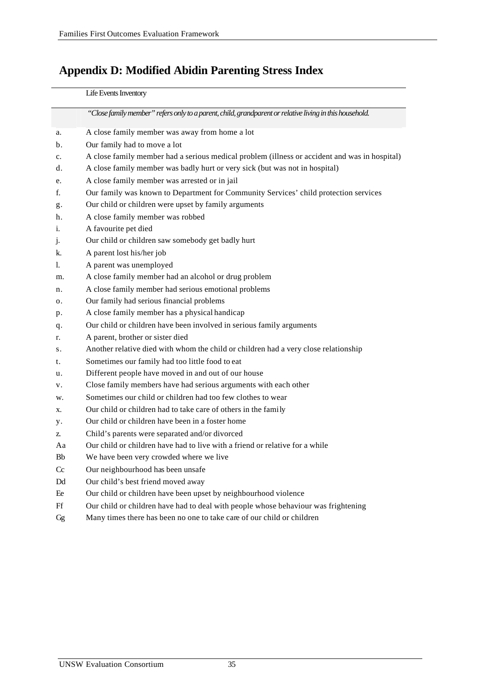# **Appendix D: Modified Abidin Parenting Stress Index**

#### Life Events Inventory

|              | "Close family member" refers only to a parent, child, grandparent or relative living in this household. |
|--------------|---------------------------------------------------------------------------------------------------------|
| a.           | A close family member was away from home a lot                                                          |
| b.           | Our family had to move a lot                                                                            |
| c.           | A close family member had a serious medical problem (illness or accident and was in hospital)           |
| d.           | A close family member was badly hurt or very sick (but was not in hospital)                             |
| e.           | A close family member was arrested or in jail                                                           |
| f.           | Our family was known to Department for Community Services' child protection services                    |
| g.           | Our child or children were upset by family arguments                                                    |
| h.           | A close family member was robbed                                                                        |
| $\mathbf{1}$ | A favourite pet died                                                                                    |
| $\cdot$      | Our child or children saw somebody get badly hurt                                                       |
| k.           | A parent lost his/her job                                                                               |
| 1.           | A parent was unemployed                                                                                 |
| m.           | A close family member had an alcohol or drug problem                                                    |
| n.           | A close family member had serious emotional problems                                                    |
| Ω.           | Our family had serious financial problems                                                               |
| p.           | A close family member has a physical handicap                                                           |
| q.           | Our child or children have been involved in serious family arguments                                    |
| r.           | A parent, brother or sister died                                                                        |
| S.           | Another relative died with whom the child or children had a very close relationship                     |
| t.           | Sometimes our family had too little food to eat                                                         |
| u.           | Different people have moved in and out of our house                                                     |
| v.           | Close family members have had serious arguments with each other                                         |
| w.           | Sometimes our child or children had too few clothes to wear                                             |
| х.           | Our child or children had to take care of others in the family                                          |
| y.           | Our child or children have been in a foster home                                                        |
| Z.           | Child's parents were separated and/or divorced                                                          |
| Aa           | Our child or children have had to live with a friend or relative for a while                            |
| Bb           | We have been very crowded where we live                                                                 |
| Cc           | Our neighbourhood has been unsafe                                                                       |
| Dd           | Our child's best friend moved away                                                                      |
| Fe           | Our child or children have been upset by neighbourhood violence                                         |
| Ff           | Our child or children have had to deal with people whose behaviour was frightening                      |
| Gg           | Many times there has been no one to take care of our child or children                                  |
|              |                                                                                                         |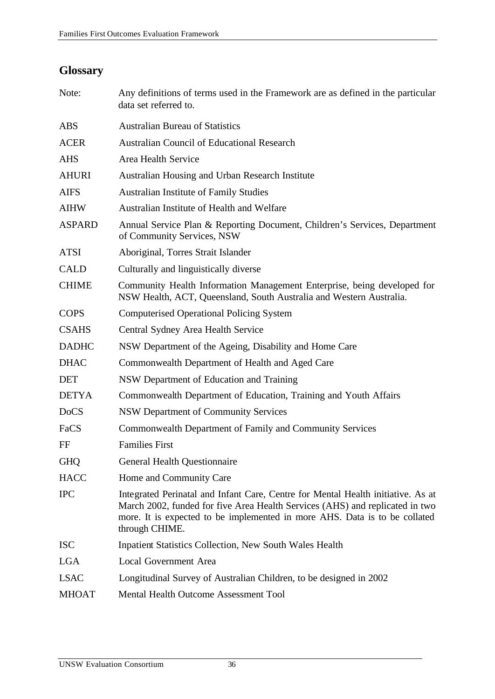# **Glossary**

| Note:         | Any definitions of terms used in the Framework are as defined in the particular<br>data set referred to.                                                                                                                                                         |
|---------------|------------------------------------------------------------------------------------------------------------------------------------------------------------------------------------------------------------------------------------------------------------------|
| <b>ABS</b>    | <b>Australian Bureau of Statistics</b>                                                                                                                                                                                                                           |
| <b>ACER</b>   | <b>Australian Council of Educational Research</b>                                                                                                                                                                                                                |
| <b>AHS</b>    | Area Health Service                                                                                                                                                                                                                                              |
| <b>AHURI</b>  | Australian Housing and Urban Research Institute                                                                                                                                                                                                                  |
| <b>AIFS</b>   | <b>Australian Institute of Family Studies</b>                                                                                                                                                                                                                    |
| <b>AIHW</b>   | Australian Institute of Health and Welfare                                                                                                                                                                                                                       |
| <b>ASPARD</b> | Annual Service Plan & Reporting Document, Children's Services, Department<br>of Community Services, NSW                                                                                                                                                          |
| <b>ATSI</b>   | Aboriginal, Torres Strait Islander                                                                                                                                                                                                                               |
| <b>CALD</b>   | Culturally and linguistically diverse                                                                                                                                                                                                                            |
| <b>CHIME</b>  | Community Health Information Management Enterprise, being developed for<br>NSW Health, ACT, Queensland, South Australia and Western Australia.                                                                                                                   |
| <b>COPS</b>   | <b>Computerised Operational Policing System</b>                                                                                                                                                                                                                  |
| <b>CSAHS</b>  | Central Sydney Area Health Service                                                                                                                                                                                                                               |
| <b>DADHC</b>  | NSW Department of the Ageing, Disability and Home Care                                                                                                                                                                                                           |
| <b>DHAC</b>   | Commonwealth Department of Health and Aged Care                                                                                                                                                                                                                  |
| <b>DET</b>    | NSW Department of Education and Training                                                                                                                                                                                                                         |
| <b>DETYA</b>  | Commonwealth Department of Education, Training and Youth Affairs                                                                                                                                                                                                 |
| <b>DoCS</b>   | <b>NSW Department of Community Services</b>                                                                                                                                                                                                                      |
| FaCS          | Commonwealth Department of Family and Community Services                                                                                                                                                                                                         |
| FF            | <b>Families First</b>                                                                                                                                                                                                                                            |
| <b>GHQ</b>    | <b>General Health Questionnaire</b>                                                                                                                                                                                                                              |
| <b>HACC</b>   | Home and Community Care                                                                                                                                                                                                                                          |
| <b>IPC</b>    | Integrated Perinatal and Infant Care, Centre for Mental Health initiative. As at<br>March 2002, funded for five Area Health Services (AHS) and replicated in two<br>more. It is expected to be implemented in more AHS. Data is to be collated<br>through CHIME. |
| <b>ISC</b>    | <b>Inpatient Statistics Collection, New South Wales Health</b>                                                                                                                                                                                                   |
| <b>LGA</b>    | <b>Local Government Area</b>                                                                                                                                                                                                                                     |
| <b>LSAC</b>   | Longitudinal Survey of Australian Children, to be designed in 2002                                                                                                                                                                                               |
| <b>MHOAT</b>  | Mental Health Outcome Assessment Tool                                                                                                                                                                                                                            |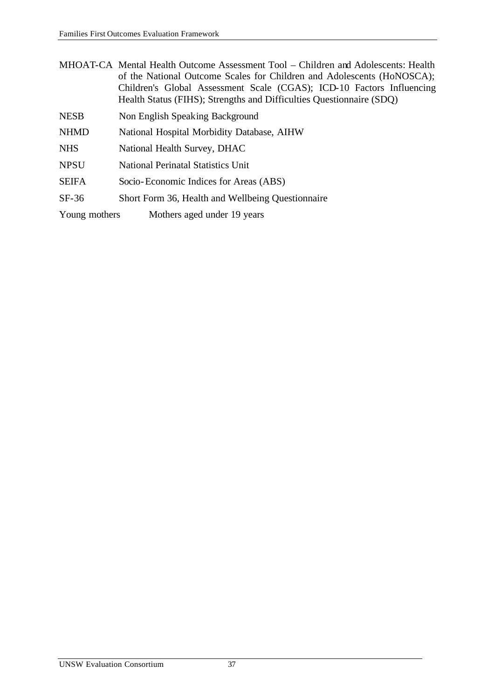| MHOAT-CA Mental Health Outcome Assessment Tool – Children and Adolescents: Health |
|-----------------------------------------------------------------------------------|
| of the National Outcome Scales for Children and Adolescents (HoNOSCA);            |
| Children's Global Assessment Scale (CGAS); ICD-10 Factors Influencing             |
| Health Status (FIHS); Strengths and Difficulties Questionnaire (SDQ)              |

- NESB Non English Speaking Background
- NHMD National Hospital Morbidity Database, AIHW
- NHS National Health Survey, DHAC
- NPSU National Perinatal Statistics Unit
- SEIFA Socio-Economic Indices for Areas (ABS)
- SF-36 Short Form 36, Health and Wellbeing Questionnaire
- Young mothers Mothers aged under 19 years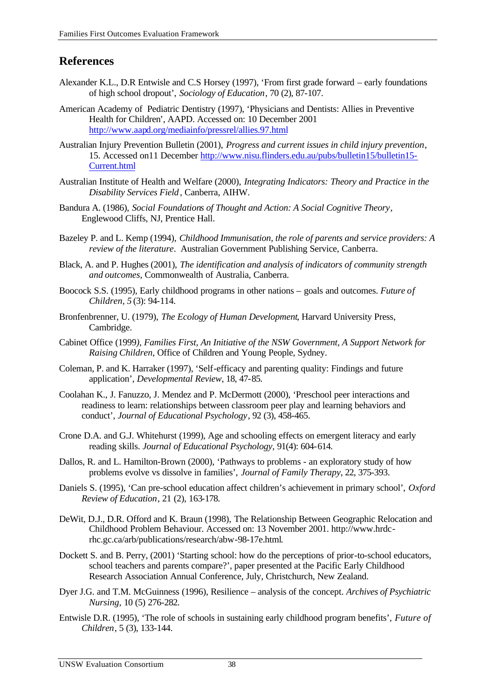# **References**

- Alexander K.L., D.R Entwisle and C.S Horsey (1997), 'From first grade forward early foundations of high school dropout', *Sociology of Education*, 70 (2), 87-107.
- American Academy of Pediatric Dentistry (1997), 'Physicians and Dentists: Allies in Preventive Health for Children', AAPD. Accessed on: 10 December 2001 http://www.aapd.org/mediainfo/pressrel/allies.97.html
- Australian Injury Prevention Bulletin (2001), *Progress and current issues in child injury prevention*, 15. Accessed on11 December http://www.nisu.flinders.edu.au/pubs/bulletin15/bulletin15- Current.html
- Australian Institute of Health and Welfare (2000), *Integrating Indicators: Theory and Practice in the Disability Services Field*, Canberra, AIHW.
- Bandura A. (1986), *Social Foundations of Thought and Action: A Social Cognitive Theory*, Englewood Cliffs, NJ, Prentice Hall.
- Bazeley P. and L. Kemp (1994), *Childhood Immunisation, the role of parents and service providers: A review of the literature*. Australian Government Publishing Service, Canberra.
- Black, A. and P. Hughes (2001), *The identification and analysis of indicators of community strength and outcomes*, Commonwealth of Australia, Canberra.
- Boocock S.S. (1995), Early childhood programs in other nations goals and outcomes. *Future of Children, 5* (3): 94-114.
- Bronfenbrenner, U. (1979), *The Ecology of Human Development*, Harvard University Press, Cambridge.
- Cabinet Office (1999*), Families First, An Initiative of the NSW Government, A Support Network for Raising Children*, Office of Children and Young People, Sydney.
- Coleman, P. and K. Harraker (1997), 'Self-efficacy and parenting quality: Findings and future application', *Developmental Review*, 18, 47-85.
- Coolahan K., J. Fanuzzo, J. Mendez and P. McDermott (2000), 'Preschool peer interactions and readiness to learn: relationships between classroom peer play and learning behaviors and conduct', *Journal of Educational Psychology*, 92 (3), 458-465.
- Crone D.A. and G.J. Whitehurst (1999), Age and schooling effects on emergent literacy and early reading skills. *Journal of Educational Psychology,* 91(4): 604-614.
- Dallos, R. and L. Hamilton-Brown (2000), 'Pathways to problems an exploratory study of how problems evolve vs dissolve in families', *Journal of Family Therapy*, 22, 375-393.
- Daniels S. (1995), 'Can pre-school education affect children's achievement in primary school', *Oxford Review of Education*, 21 (2), 163-178.
- DeWit, D.J., D.R. Offord and K. Braun (1998), The Relationship Between Geographic Relocation and Childhood Problem Behaviour. Accessed on: 13 November 2001. http://www.hrdcrhc.gc.ca/arb/publications/research/abw-98-17e.html.
- Dockett S. and B. Perry, (2001) 'Starting school: how do the perceptions of prior-to-school educators, school teachers and parents compare?', paper presented at the Pacific Early Childhood Research Association Annual Conference, July, Christchurch, New Zealand.
- Dyer J.G. and T.M. McGuinness (1996), Resilience analysis of the concept. *Archives of Psychiatric Nursing,* 10 (5) 276-282.
- Entwisle D.R. (1995), 'The role of schools in sustaining early childhood program benefits', *Future of Children*, 5 (3), 133-144.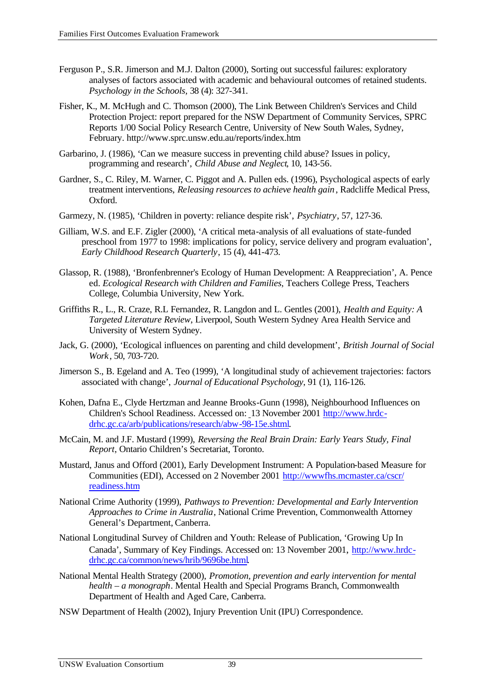- Ferguson P., S.R. Jimerson and M.J. Dalton (2000), Sorting out successful failures: exploratory analyses of factors associated with academic and behavioural outcomes of retained students. *Psychology in the Schools,* 38 (4): 327-341.
- Fisher, K., M. McHugh and C. Thomson (2000), The Link Between Children's Services and Child Protection Project: report prepared for the NSW Department of Community Services, SPRC Reports 1/00 Social Policy Research Centre, University of New South Wales, Sydney, February. http://www.sprc.unsw.edu.au/reports/index.htm
- Garbarino, J. (1986), 'Can we measure success in preventing child abuse? Issues in policy, programming and research', *Child Abuse and Neglect*, 10, 143-56.
- Gardner, S., C. Riley, M. Warner, C. Piggot and A. Pullen eds. (1996), Psychological aspects of early treatment interventions, *Releasing resources to achieve health gain*, Radcliffe Medical Press, Oxford.
- Garmezy, N. (1985), 'Children in poverty: reliance despite risk', *Psychiatry*, 57, 127-36.
- Gilliam, W.S. and E.F. Zigler (2000), 'A critical meta-analysis of all evaluations of state-funded preschool from 1977 to 1998: implications for policy, service delivery and program evaluation', *Early Childhood Research Quarterly*, 15 (4), 441-473.
- Glassop, R. (1988), 'Bronfenbrenner's Ecology of Human Development: A Reappreciation', A. Pence ed. *Ecological Research with Children and Families*, Teachers College Press, Teachers College, Columbia University, New York.
- Griffiths R., L., R. Craze, R.L Fernandez, R. Langdon and L. Gentles (2001), *Health and Equity: A Targeted Literature Review*, Liverpool, South Western Sydney Area Health Service and University of Western Sydney.
- Jack, G. (2000), 'Ecological influences on parenting and child development', *British Journal of Social Work*, 50, 703-720.
- Jimerson S., B. Egeland and A. Teo (1999), 'A longitudinal study of achievement trajectories: factors associated with change', *Journal of Educational Psychology*, 91 (1), 116-126.
- Kohen, Dafna E., Clyde Hertzman and Jeanne Brooks-Gunn (1998), Neighbourhood Influences on Children's School Readiness. Accessed on: 13 November 2001 http://www.hrdcdrhc.gc.ca/arb/publications/research/abw-98-15e.shtml.
- McCain, M. and J.F. Mustard (1999), *Reversing the Real Brain Drain: Early Years Study, Final Report*, Ontario Children's Secretariat, Toronto.
- Mustard, Janus and Offord (2001), Early Development Instrument: A Population-based Measure for Communities (EDI), Accessed on 2 November 2001 http://wwwfhs.mcmaster.ca/cscr/ readiness.htm
- National Crime Authority (1999), *Pathways to Prevention: Developmental and Early Intervention Approaches to Crime in Australia*, National Crime Prevention, Commonwealth Attorney General's Department, Canberra.
- National Longitudinal Survey of Children and Youth: Release of Publication, 'Growing Up In Canada', Summary of Key Findings. Accessed on: 13 November 2001, http://www.hrdcdrhc.gc.ca/common/news/hrib/9696be.html.
- National Mental Health Strategy (2000), *Promotion, prevention and early intervention for mental health – a monograph*. Mental Health and Special Programs Branch, Commonwealth Department of Health and Aged Care, Canberra.
- NSW Department of Health (2002), Injury Prevention Unit (IPU) Correspondence.